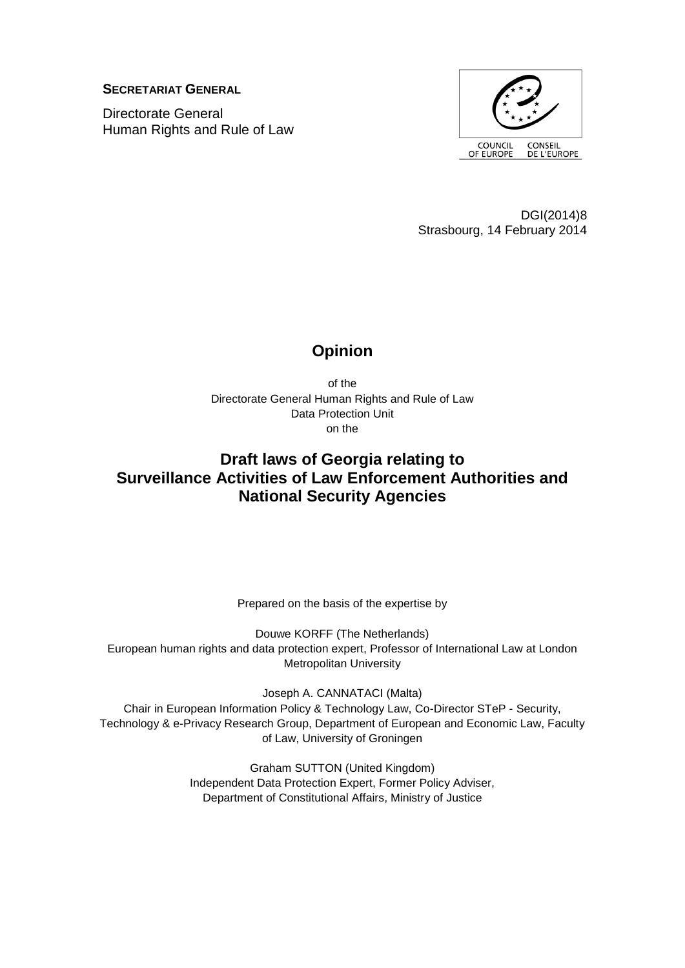**SECRETARIAT GENERAL**

Directorate General Human Rights and Rule of Law



DGI(2014)8 Strasbourg, 14 February 2014

# **Opinion**

of the Directorate General Human Rights and Rule of Law Data Protection Unit on the

# **Draft laws of Georgia relating to Surveillance Activities of Law Enforcement Authorities and National Security Agencies**

Prepared on the basis of the expertise by

Douwe KORFF (The Netherlands) European human rights and data protection expert, Professor of International Law at London Metropolitan University

Joseph A. CANNATACI (Malta) Chair in European Information Policy & Technology Law, Co-Director STeP - Security, Technology & e-Privacy Research Group, Department of European and Economic Law, Faculty of Law, University of Groningen

> Graham SUTTON (United Kingdom) Independent Data Protection Expert, Former Policy Adviser, Department of Constitutional Affairs, Ministry of Justice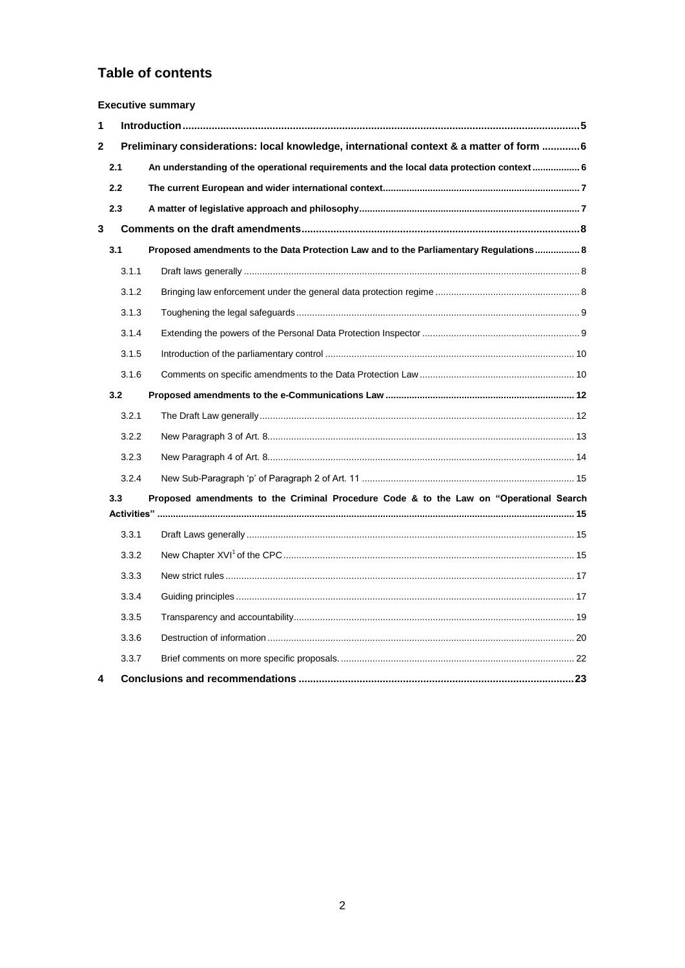# **Table of contents**

| <b>Executive summary</b> |       |                                                                                           |  |  |
|--------------------------|-------|-------------------------------------------------------------------------------------------|--|--|
| 1                        |       |                                                                                           |  |  |
| 2                        |       | Preliminary considerations: local knowledge, international context & a matter of form  6  |  |  |
|                          | 2.1   | An understanding of the operational requirements and the local data protection context  6 |  |  |
|                          | 2.2   |                                                                                           |  |  |
|                          | 2.3   |                                                                                           |  |  |
| 3                        |       |                                                                                           |  |  |
|                          | 3.1   | Proposed amendments to the Data Protection Law and to the Parliamentary Regulations 8     |  |  |
|                          | 3.1.1 |                                                                                           |  |  |
|                          | 3.1.2 |                                                                                           |  |  |
|                          | 3.1.3 |                                                                                           |  |  |
|                          | 3.1.4 |                                                                                           |  |  |
|                          | 3.1.5 |                                                                                           |  |  |
|                          | 3.1.6 |                                                                                           |  |  |
|                          | 3.2   |                                                                                           |  |  |
|                          | 3.2.1 |                                                                                           |  |  |
|                          | 3.2.2 |                                                                                           |  |  |
|                          | 3.2.3 |                                                                                           |  |  |
|                          | 3.2.4 |                                                                                           |  |  |
|                          | 3.3   | Proposed amendments to the Criminal Procedure Code & to the Law on "Operational Search    |  |  |
|                          | 3.3.1 |                                                                                           |  |  |
|                          | 3.3.2 |                                                                                           |  |  |
|                          | 3.3.3 |                                                                                           |  |  |
|                          | 3.3.4 |                                                                                           |  |  |
|                          | 3.3.5 |                                                                                           |  |  |
|                          | 3.3.6 |                                                                                           |  |  |
|                          | 3.3.7 |                                                                                           |  |  |
| 4                        |       |                                                                                           |  |  |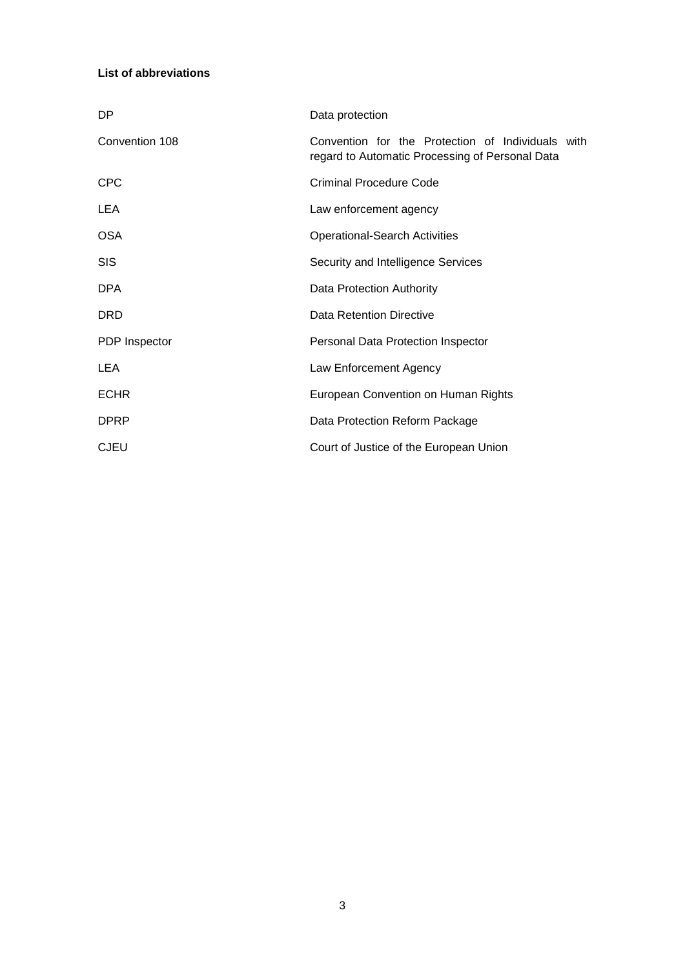### **List of abbreviations**

| DP             | Data protection                                                                                      |
|----------------|------------------------------------------------------------------------------------------------------|
| Convention 108 | Convention for the Protection of Individuals with<br>regard to Automatic Processing of Personal Data |
| <b>CPC</b>     | <b>Criminal Procedure Code</b>                                                                       |
| LEA            | Law enforcement agency                                                                               |
| <b>OSA</b>     | <b>Operational-Search Activities</b>                                                                 |
| <b>SIS</b>     | Security and Intelligence Services                                                                   |
| <b>DPA</b>     | Data Protection Authority                                                                            |
| <b>DRD</b>     | Data Retention Directive                                                                             |
| PDP Inspector  | Personal Data Protection Inspector                                                                   |
| <b>LEA</b>     | Law Enforcement Agency                                                                               |
| <b>ECHR</b>    | European Convention on Human Rights                                                                  |
| <b>DPRP</b>    | Data Protection Reform Package                                                                       |
| <b>CJEU</b>    | Court of Justice of the European Union                                                               |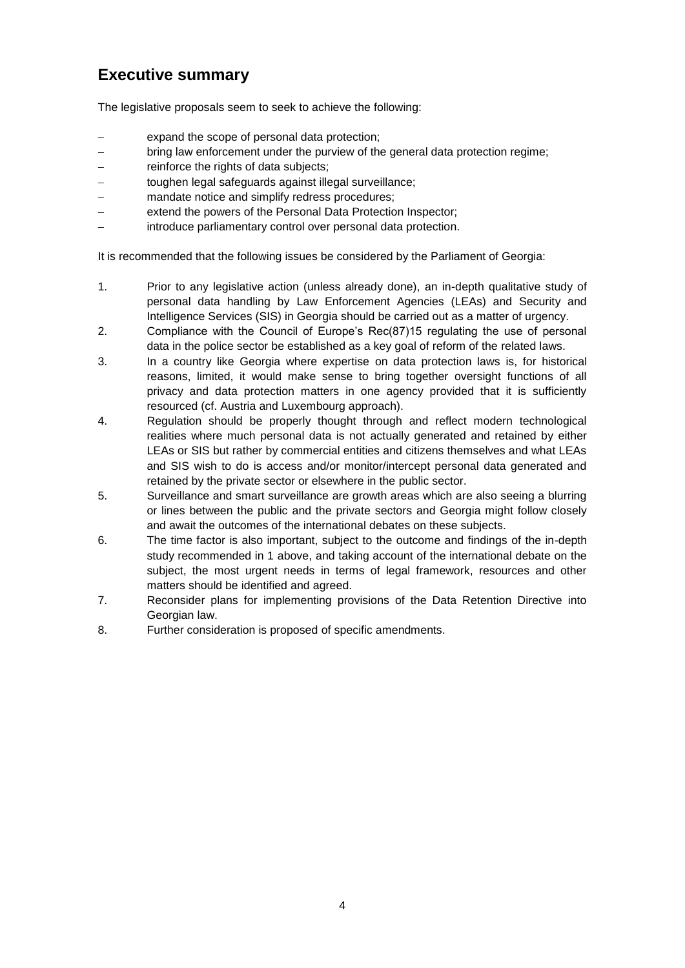# **Executive summary**

The legislative proposals seem to seek to achieve the following:

- expand the scope of personal data protection;
- bring law enforcement under the purview of the general data protection regime;
- reinforce the rights of data subjects;
- toughen legal safeguards against illegal surveillance;
- mandate notice and simplify redress procedures;
- extend the powers of the Personal Data Protection Inspector;
- introduce parliamentary control over personal data protection.

It is recommended that the following issues be considered by the Parliament of Georgia:

- 1. Prior to any legislative action (unless already done), an in-depth qualitative study of personal data handling by Law Enforcement Agencies (LEAs) and Security and Intelligence Services (SIS) in Georgia should be carried out as a matter of urgency.
- 2. Compliance with the Council of Europe's Rec(87)15 regulating the use of personal data in the police sector be established as a key goal of reform of the related laws.
- 3. In a country like Georgia where expertise on data protection laws is, for historical reasons, limited, it would make sense to bring together oversight functions of all privacy and data protection matters in one agency provided that it is sufficiently resourced (cf. Austria and Luxembourg approach).
- 4. Regulation should be properly thought through and reflect modern technological realities where much personal data is not actually generated and retained by either LEAs or SIS but rather by commercial entities and citizens themselves and what LEAs and SIS wish to do is access and/or monitor/intercept personal data generated and retained by the private sector or elsewhere in the public sector.
- 5. Surveillance and smart surveillance are growth areas which are also seeing a blurring or lines between the public and the private sectors and Georgia might follow closely and await the outcomes of the international debates on these subjects.
- 6. The time factor is also important, subject to the outcome and findings of the in-depth study recommended in 1 above, and taking account of the international debate on the subject, the most urgent needs in terms of legal framework, resources and other matters should be identified and agreed.
- 7. Reconsider plans for implementing provisions of the Data Retention Directive into Georgian law.
- 8. Further consideration is proposed of specific amendments.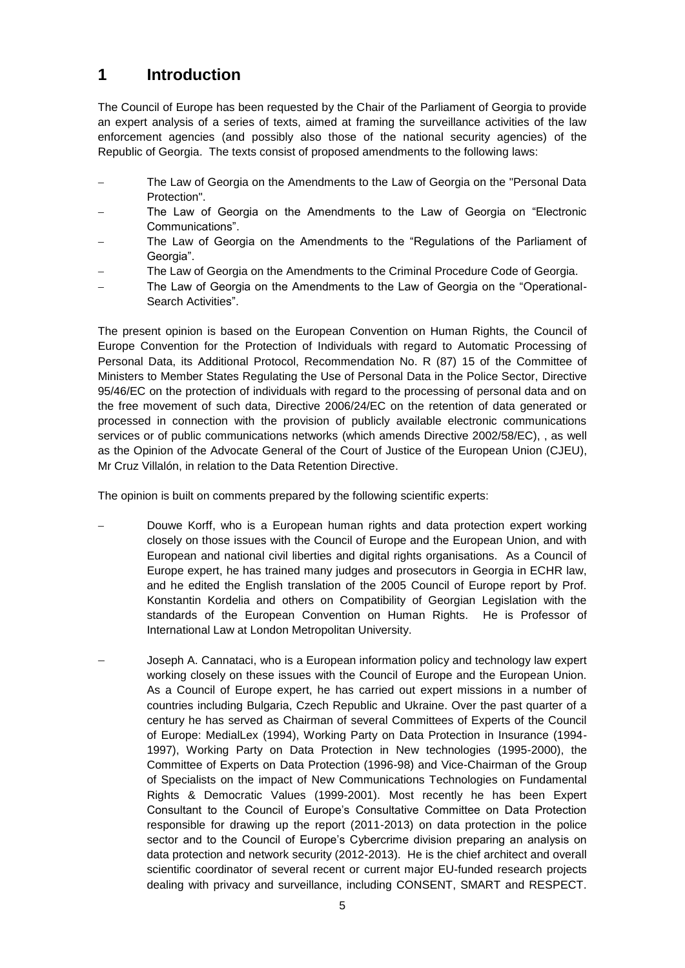# <span id="page-4-0"></span>**1 Introduction**

The Council of Europe has been requested by the Chair of the Parliament of Georgia to provide an expert analysis of a series of texts, aimed at framing the surveillance activities of the law enforcement agencies (and possibly also those of the national security agencies) of the Republic of Georgia. The texts consist of proposed amendments to the following laws:

- The Law of Georgia on the Amendments to the Law of Georgia on the "Personal Data Protection".
- The Law of Georgia on the Amendments to the Law of Georgia on "Electronic Communications".
- The Law of Georgia on the Amendments to the "Regulations of the Parliament of Georgia".
- The Law of Georgia on the Amendments to the Criminal Procedure Code of Georgia.
- The Law of Georgia on the Amendments to the Law of Georgia on the "Operational-Search Activities".

The present opinion is based on the European Convention on Human Rights, the Council of Europe Convention for the Protection of Individuals with regard to Automatic Processing of Personal Data, its Additional Protocol, Recommendation No. R (87) 15 of the Committee of Ministers to Member States Regulating the Use of Personal Data in the Police Sector, Directive 95/46/EC on the protection of individuals with regard to the processing of personal data and on the free movement of such data, Directive 2006/24/EC on the retention of data generated or processed in connection with the provision of publicly available electronic communications services or of public communications networks (which amends Directive 2002/58/EC), , as well as the Opinion of the Advocate General of the Court of Justice of the European Union (CJEU), Mr Cruz Villalón, in relation to the Data Retention Directive.

The opinion is built on comments prepared by the following scientific experts:

- Douwe Korff, who is a European human rights and data protection expert working closely on those issues with the Council of Europe and the European Union, and with European and national civil liberties and digital rights organisations. As a Council of Europe expert, he has trained many judges and prosecutors in Georgia in ECHR law, and he edited the English translation of the 2005 Council of Europe report by Prof. Konstantin Kordelia and others on Compatibility of Georgian Legislation with the standards of the European Convention on Human Rights. He is Professor of International Law at London Metropolitan University.
- Joseph A. Cannataci, who is a European information policy and technology law expert working closely on these issues with the Council of Europe and the European Union. As a Council of Europe expert, he has carried out expert missions in a number of countries including Bulgaria, Czech Republic and Ukraine. Over the past quarter of a century he has served as Chairman of several Committees of Experts of the Council of Europe: MedialLex (1994), Working Party on Data Protection in Insurance (1994- 1997), Working Party on Data Protection in New technologies (1995-2000), the Committee of Experts on Data Protection (1996-98) and Vice-Chairman of the Group of Specialists on the impact of New Communications Technologies on Fundamental Rights & Democratic Values (1999-2001). Most recently he has been Expert Consultant to the Council of Europe's Consultative Committee on Data Protection responsible for drawing up the report (2011-2013) on data protection in the police sector and to the Council of Europe's Cybercrime division preparing an analysis on data protection and network security (2012-2013). He is the chief architect and overall scientific coordinator of several recent or current major EU-funded research projects dealing with privacy and surveillance, including CONSENT, SMART and RESPECT.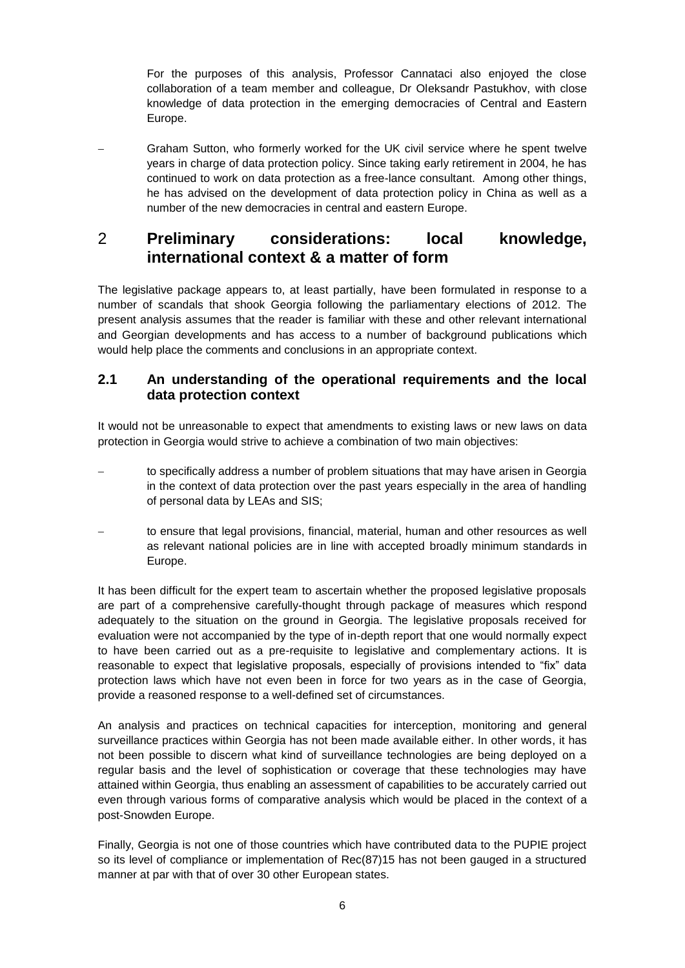For the purposes of this analysis, Professor Cannataci also enjoyed the close collaboration of a team member and colleague, Dr Oleksandr Pastukhov, with close knowledge of data protection in the emerging democracies of Central and Eastern Europe.

 Graham Sutton, who formerly worked for the UK civil service where he spent twelve years in charge of data protection policy. Since taking early retirement in 2004, he has continued to work on data protection as a free-lance consultant. Among other things, he has advised on the development of data protection policy in China as well as a number of the new democracies in central and eastern Europe.

# <span id="page-5-0"></span>2 **Preliminary considerations: local knowledge, international context & a matter of form**

The legislative package appears to, at least partially, have been formulated in response to a number of scandals that shook Georgia following the parliamentary elections of 2012. The present analysis assumes that the reader is familiar with these and other relevant international and Georgian developments and has access to a number of background publications which would help place the comments and conclusions in an appropriate context.

## <span id="page-5-1"></span>**2.1 An understanding of the operational requirements and the local data protection context**

It would not be unreasonable to expect that amendments to existing laws or new laws on data protection in Georgia would strive to achieve a combination of two main objectives:

- to specifically address a number of problem situations that may have arisen in Georgia in the context of data protection over the past years especially in the area of handling of personal data by LEAs and SIS;
- to ensure that legal provisions, financial, material, human and other resources as well as relevant national policies are in line with accepted broadly minimum standards in Europe.

It has been difficult for the expert team to ascertain whether the proposed legislative proposals are part of a comprehensive carefully-thought through package of measures which respond adequately to the situation on the ground in Georgia. The legislative proposals received for evaluation were not accompanied by the type of in-depth report that one would normally expect to have been carried out as a pre-requisite to legislative and complementary actions. It is reasonable to expect that legislative proposals, especially of provisions intended to "fix" data protection laws which have not even been in force for two years as in the case of Georgia, provide a reasoned response to a well-defined set of circumstances.

An analysis and practices on technical capacities for interception, monitoring and general surveillance practices within Georgia has not been made available either. In other words, it has not been possible to discern what kind of surveillance technologies are being deployed on a regular basis and the level of sophistication or coverage that these technologies may have attained within Georgia, thus enabling an assessment of capabilities to be accurately carried out even through various forms of comparative analysis which would be placed in the context of a post-Snowden Europe.

Finally, Georgia is not one of those countries which have contributed data to the PUPIE project so its level of compliance or implementation of Rec(87)15 has not been gauged in a structured manner at par with that of over 30 other European states.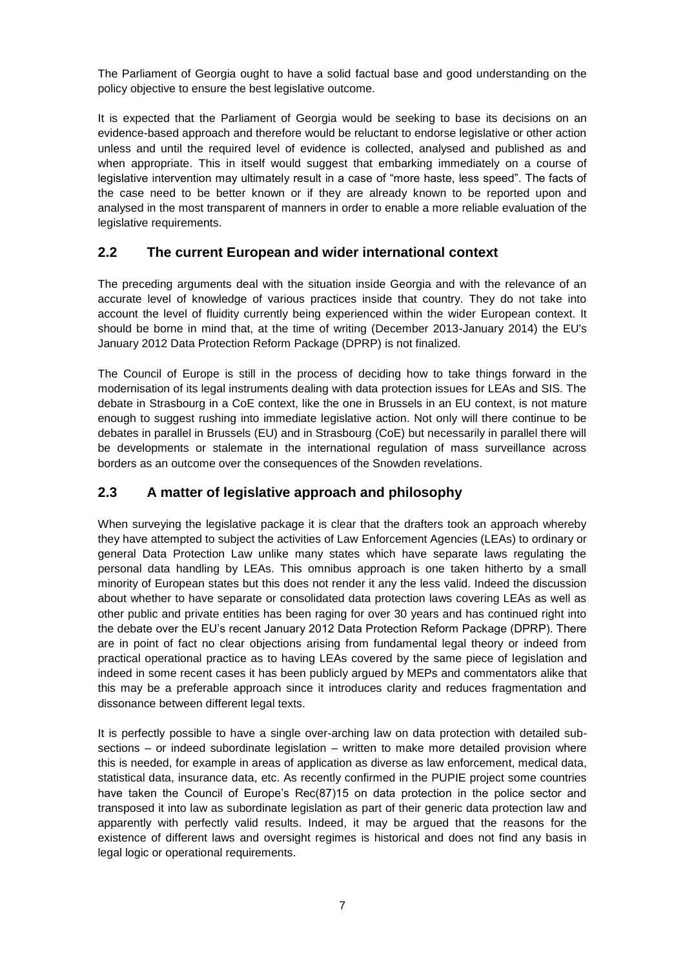The Parliament of Georgia ought to have a solid factual base and good understanding on the policy objective to ensure the best legislative outcome.

It is expected that the Parliament of Georgia would be seeking to base its decisions on an evidence-based approach and therefore would be reluctant to endorse legislative or other action unless and until the required level of evidence is collected, analysed and published as and when appropriate. This in itself would suggest that embarking immediately on a course of legislative intervention may ultimately result in a case of "more haste, less speed". The facts of the case need to be better known or if they are already known to be reported upon and analysed in the most transparent of manners in order to enable a more reliable evaluation of the legislative requirements.

## <span id="page-6-0"></span>**2.2 The current European and wider international context**

The preceding arguments deal with the situation inside Georgia and with the relevance of an accurate level of knowledge of various practices inside that country. They do not take into account the level of fluidity currently being experienced within the wider European context. It should be borne in mind that, at the time of writing (December 2013-January 2014) the EU's January 2012 Data Protection Reform Package (DPRP) is not finalized.

The Council of Europe is still in the process of deciding how to take things forward in the modernisation of its legal instruments dealing with data protection issues for LEAs and SIS. The debate in Strasbourg in a CoE context, like the one in Brussels in an EU context, is not mature enough to suggest rushing into immediate legislative action. Not only will there continue to be debates in parallel in Brussels (EU) and in Strasbourg (CoE) but necessarily in parallel there will be developments or stalemate in the international regulation of mass surveillance across borders as an outcome over the consequences of the Snowden revelations.

# <span id="page-6-1"></span>**2.3 A matter of legislative approach and philosophy**

When surveving the legislative package it is clear that the drafters took an approach whereby they have attempted to subject the activities of Law Enforcement Agencies (LEAs) to ordinary or general Data Protection Law unlike many states which have separate laws regulating the personal data handling by LEAs. This omnibus approach is one taken hitherto by a small minority of European states but this does not render it any the less valid. Indeed the discussion about whether to have separate or consolidated data protection laws covering LEAs as well as other public and private entities has been raging for over 30 years and has continued right into the debate over the EU's recent January 2012 Data Protection Reform Package (DPRP). There are in point of fact no clear objections arising from fundamental legal theory or indeed from practical operational practice as to having LEAs covered by the same piece of legislation and indeed in some recent cases it has been publicly argued by MEPs and commentators alike that this may be a preferable approach since it introduces clarity and reduces fragmentation and dissonance between different legal texts.

It is perfectly possible to have a single over-arching law on data protection with detailed subsections – or indeed subordinate legislation – written to make more detailed provision where this is needed, for example in areas of application as diverse as law enforcement, medical data, statistical data, insurance data, etc. As recently confirmed in the PUPIE project some countries have taken the Council of Europe's Rec(87)15 on data protection in the police sector and transposed it into law as subordinate legislation as part of their generic data protection law and apparently with perfectly valid results. Indeed, it may be argued that the reasons for the existence of different laws and oversight regimes is historical and does not find any basis in legal logic or operational requirements.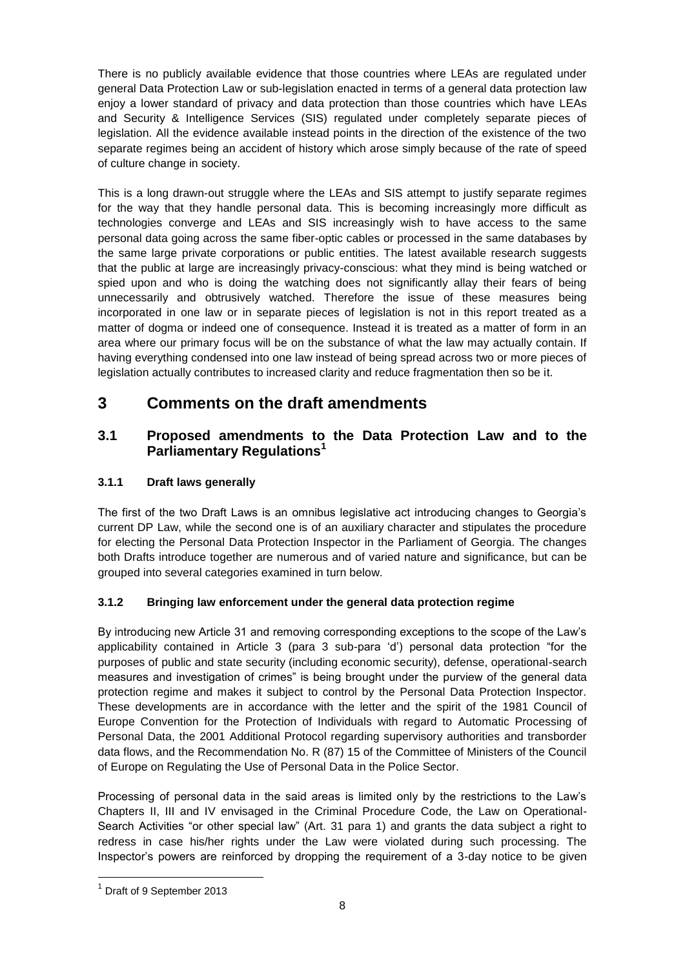There is no publicly available evidence that those countries where LEAs are regulated under general Data Protection Law or sub-legislation enacted in terms of a general data protection law enjoy a lower standard of privacy and data protection than those countries which have LEAs and Security & Intelligence Services (SIS) regulated under completely separate pieces of legislation. All the evidence available instead points in the direction of the existence of the two separate regimes being an accident of history which arose simply because of the rate of speed of culture change in society.

This is a long drawn-out struggle where the LEAs and SIS attempt to justify separate regimes for the way that they handle personal data. This is becoming increasingly more difficult as technologies converge and LEAs and SIS increasingly wish to have access to the same personal data going across the same fiber-optic cables or processed in the same databases by the same large private corporations or public entities. The latest available research suggests that the public at large are increasingly privacy-conscious: what they mind is being watched or spied upon and who is doing the watching does not significantly allay their fears of being unnecessarily and obtrusively watched. Therefore the issue of these measures being incorporated in one law or in separate pieces of legislation is not in this report treated as a matter of dogma or indeed one of consequence. Instead it is treated as a matter of form in an area where our primary focus will be on the substance of what the law may actually contain. If having everything condensed into one law instead of being spread across two or more pieces of legislation actually contributes to increased clarity and reduce fragmentation then so be it.

# <span id="page-7-0"></span>**3 Comments on the draft amendments**

## <span id="page-7-1"></span>**3.1 Proposed amendments to the Data Protection Law and to the Parliamentary Regulations<sup>1</sup>**

## <span id="page-7-2"></span>**3.1.1 Draft laws generally**

The first of the two Draft Laws is an omnibus legislative act introducing changes to Georgia's current DP Law, while the second one is of an auxiliary character and stipulates the procedure for electing the Personal Data Protection Inspector in the Parliament of Georgia. The changes both Drafts introduce together are numerous and of varied nature and significance, but can be grouped into several categories examined in turn below.

## <span id="page-7-3"></span>**3.1.2 Bringing law enforcement under the general data protection regime**

By introducing new Article 31 and removing corresponding exceptions to the scope of the Law's applicability contained in Article 3 (para 3 sub-para 'd') personal data protection "for the purposes of public and state security (including economic security), defense, operational-search measures and investigation of crimes" is being brought under the purview of the general data protection regime and makes it subject to control by the Personal Data Protection Inspector. These developments are in accordance with the letter and the spirit of the 1981 Council of Europe Convention for the Protection of Individuals with regard to Automatic Processing of Personal Data, the 2001 Additional Protocol regarding supervisory authorities and transborder data flows, and the Recommendation No. R (87) 15 of the Committee of Ministers of the Council of Europe on Regulating the Use of Personal Data in the Police Sector.

Processing of personal data in the said areas is limited only by the restrictions to the Law's Chapters II, III and IV envisaged in the Criminal Procedure Code, the Law on Operational-Search Activities "or other special law" (Art. 31 para 1) and grants the data subject a right to redress in case his/her rights under the Law were violated during such processing. The Inspector's powers are reinforced by dropping the requirement of a 3-day notice to be given

-

<sup>&</sup>lt;sup>1</sup> Draft of 9 September 2013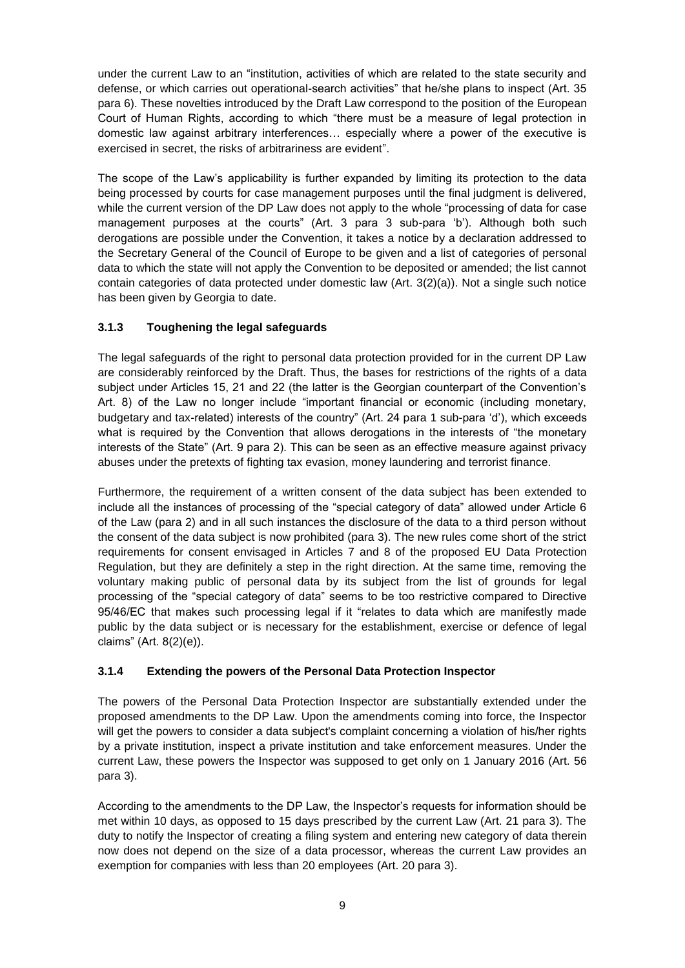under the current Law to an "institution, activities of which are related to the state security and defense, or which carries out operational-search activities" that he/she plans to inspect (Art. 35 para 6). These novelties introduced by the Draft Law correspond to the position of the European Court of Human Rights, according to which "there must be a measure of legal protection in domestic law against arbitrary interferences… especially where a power of the executive is exercised in secret, the risks of arbitrariness are evident".

The scope of the Law's applicability is further expanded by limiting its protection to the data being processed by courts for case management purposes until the final judgment is delivered, while the current version of the DP Law does not apply to the whole "processing of data for case management purposes at the courts" (Art. 3 para 3 sub-para 'b'). Although both such derogations are possible under the Convention, it takes a notice by a declaration addressed to the Secretary General of the Council of Europe to be given and a list of categories of personal data to which the state will not apply the Convention to be deposited or amended; the list cannot contain categories of data protected under domestic law (Art. 3(2)(a)). Not a single such notice has been given by Georgia to date.

## <span id="page-8-0"></span>**3.1.3 Toughening the legal safeguards**

The legal safeguards of the right to personal data protection provided for in the current DP Law are considerably reinforced by the Draft. Thus, the bases for restrictions of the rights of a data subject under Articles 15, 21 and 22 (the latter is the Georgian counterpart of the Convention's Art. 8) of the Law no longer include "important financial or economic (including monetary, budgetary and tax-related) interests of the country" (Art. 24 para 1 sub-para 'd'), which exceeds what is required by the Convention that allows derogations in the interests of "the monetary interests of the State" (Art. 9 para 2). This can be seen as an effective measure against privacy abuses under the pretexts of fighting tax evasion, money laundering and terrorist finance.

Furthermore, the requirement of a written consent of the data subject has been extended to include all the instances of processing of the "special category of data" allowed under Article 6 of the Law (para 2) and in all such instances the disclosure of the data to a third person without the consent of the data subject is now prohibited (para 3). The new rules come short of the strict requirements for consent envisaged in Articles 7 and 8 of the proposed EU Data Protection Regulation, but they are definitely a step in the right direction. At the same time, removing the voluntary making public of personal data by its subject from the list of grounds for legal processing of the "special category of data" seems to be too restrictive compared to Directive 95/46/EC that makes such processing legal if it "relates to data which are manifestly made public by the data subject or is necessary for the establishment, exercise or defence of legal claims" (Art. 8(2)(e)).

### <span id="page-8-1"></span>**3.1.4 Extending the powers of the Personal Data Protection Inspector**

The powers of the Personal Data Protection Inspector are substantially extended under the proposed amendments to the DP Law. Upon the amendments coming into force, the Inspector will get the powers to consider a data subject's complaint concerning a violation of his/her rights by a private institution, inspect a private institution and take enforcement measures. Under the current Law, these powers the Inspector was supposed to get only on 1 January 2016 (Art. 56 para 3).

According to the amendments to the DP Law, the Inspector's requests for information should be met within 10 days, as opposed to 15 days prescribed by the current Law (Art. 21 para 3). The duty to notify the Inspector of creating a filing system and entering new category of data therein now does not depend on the size of a data processor, whereas the current Law provides an exemption for companies with less than 20 employees (Art. 20 para 3).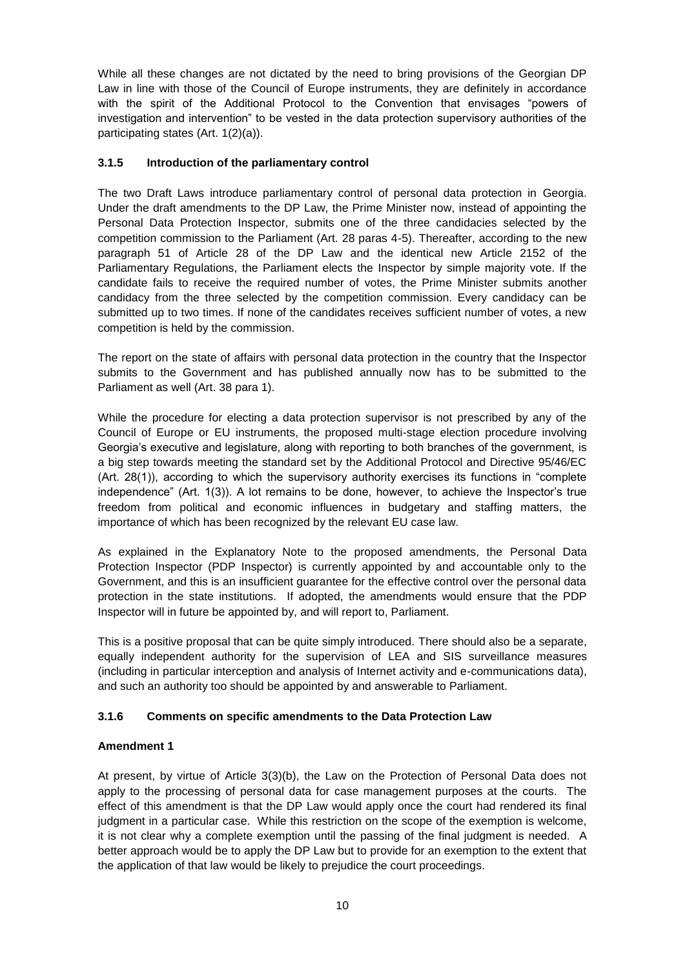While all these changes are not dictated by the need to bring provisions of the Georgian DP Law in line with those of the Council of Europe instruments, they are definitely in accordance with the spirit of the Additional Protocol to the Convention that envisages "powers of investigation and intervention" to be vested in the data protection supervisory authorities of the participating states (Art. 1(2)(a)).

#### <span id="page-9-0"></span>**3.1.5 Introduction of the parliamentary control**

The two Draft Laws introduce parliamentary control of personal data protection in Georgia. Under the draft amendments to the DP Law, the Prime Minister now, instead of appointing the Personal Data Protection Inspector, submits one of the three candidacies selected by the competition commission to the Parliament (Art. 28 paras 4-5). Thereafter, according to the new paragraph 51 of Article 28 of the DP Law and the identical new Article 2152 of the Parliamentary Regulations, the Parliament elects the Inspector by simple majority vote. If the candidate fails to receive the required number of votes, the Prime Minister submits another candidacy from the three selected by the competition commission. Every candidacy can be submitted up to two times. If none of the candidates receives sufficient number of votes, a new competition is held by the commission.

The report on the state of affairs with personal data protection in the country that the Inspector submits to the Government and has published annually now has to be submitted to the Parliament as well (Art. 38 para 1).

While the procedure for electing a data protection supervisor is not prescribed by any of the Council of Europe or EU instruments, the proposed multi-stage election procedure involving Georgia's executive and legislature, along with reporting to both branches of the government, is a big step towards meeting the standard set by the Additional Protocol and Directive 95/46/EC (Art. 28(1)), according to which the supervisory authority exercises its functions in "complete independence" (Art. 1(3)). A lot remains to be done, however, to achieve the Inspector's true freedom from political and economic influences in budgetary and staffing matters, the importance of which has been recognized by the relevant EU case law.

As explained in the Explanatory Note to the proposed amendments, the Personal Data Protection Inspector (PDP Inspector) is currently appointed by and accountable only to the Government, and this is an insufficient guarantee for the effective control over the personal data protection in the state institutions. If adopted, the amendments would ensure that the PDP Inspector will in future be appointed by, and will report to, Parliament.

This is a positive proposal that can be quite simply introduced. There should also be a separate, equally independent authority for the supervision of LEA and SIS surveillance measures (including in particular interception and analysis of Internet activity and e-communications data), and such an authority too should be appointed by and answerable to Parliament.

### <span id="page-9-1"></span>**3.1.6 Comments on specific amendments to the Data Protection Law**

#### **Amendment 1**

At present, by virtue of Article 3(3)(b), the Law on the Protection of Personal Data does not apply to the processing of personal data for case management purposes at the courts. The effect of this amendment is that the DP Law would apply once the court had rendered its final judgment in a particular case. While this restriction on the scope of the exemption is welcome, it is not clear why a complete exemption until the passing of the final judgment is needed. A better approach would be to apply the DP Law but to provide for an exemption to the extent that the application of that law would be likely to prejudice the court proceedings.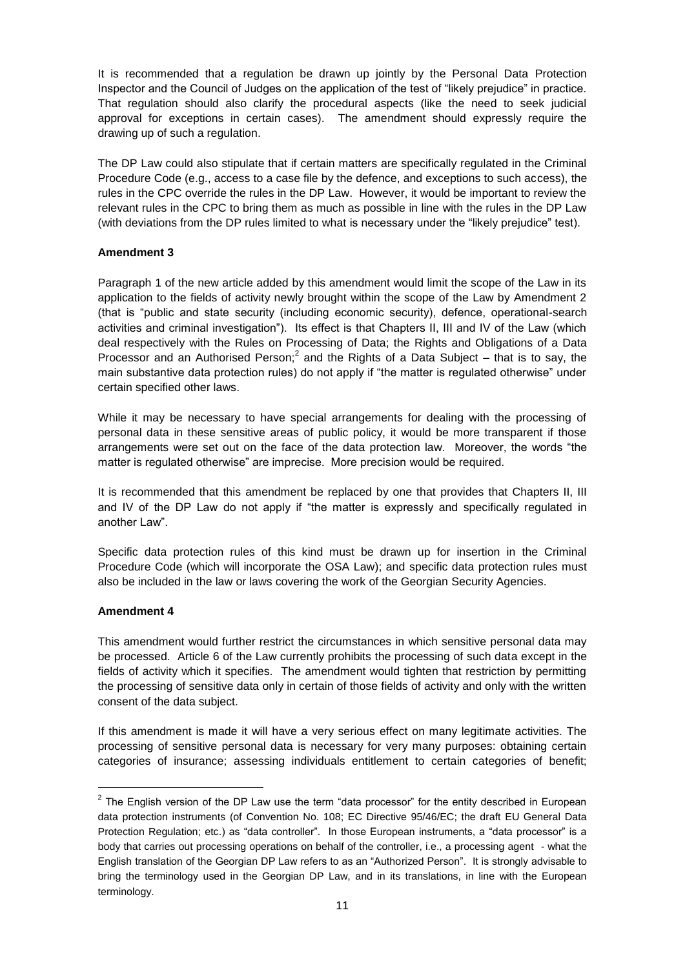It is recommended that a regulation be drawn up jointly by the Personal Data Protection Inspector and the Council of Judges on the application of the test of "likely prejudice" in practice. That regulation should also clarify the procedural aspects (like the need to seek judicial approval for exceptions in certain cases). The amendment should expressly require the drawing up of such a regulation.

The DP Law could also stipulate that if certain matters are specifically regulated in the Criminal Procedure Code (e.g., access to a case file by the defence, and exceptions to such access), the rules in the CPC override the rules in the DP Law. However, it would be important to review the relevant rules in the CPC to bring them as much as possible in line with the rules in the DP Law (with deviations from the DP rules limited to what is necessary under the "likely prejudice" test).

#### **Amendment 3**

Paragraph 1 of the new article added by this amendment would limit the scope of the Law in its application to the fields of activity newly brought within the scope of the Law by Amendment 2 (that is "public and state security (including economic security), defence, operational-search activities and criminal investigation"). Its effect is that Chapters II, III and IV of the Law (which deal respectively with the Rules on Processing of Data; the Rights and Obligations of a Data Processor and an Authorised Person;<sup>2</sup> and the Rights of a Data Subject  $-$  that is to say, the main substantive data protection rules) do not apply if "the matter is regulated otherwise" under certain specified other laws.

While it may be necessary to have special arrangements for dealing with the processing of personal data in these sensitive areas of public policy, it would be more transparent if those arrangements were set out on the face of the data protection law. Moreover, the words "the matter is regulated otherwise" are imprecise. More precision would be required.

It is recommended that this amendment be replaced by one that provides that Chapters II, III and IV of the DP Law do not apply if "the matter is expressly and specifically regulated in another Law".

Specific data protection rules of this kind must be drawn up for insertion in the Criminal Procedure Code (which will incorporate the OSA Law); and specific data protection rules must also be included in the law or laws covering the work of the Georgian Security Agencies.

#### **Amendment 4**

-

This amendment would further restrict the circumstances in which sensitive personal data may be processed. Article 6 of the Law currently prohibits the processing of such data except in the fields of activity which it specifies. The amendment would tighten that restriction by permitting the processing of sensitive data only in certain of those fields of activity and only with the written consent of the data subject.

If this amendment is made it will have a very serious effect on many legitimate activities. The processing of sensitive personal data is necessary for very many purposes: obtaining certain categories of insurance; assessing individuals entitlement to certain categories of benefit;

 $2$  The English version of the DP Law use the term "data processor" for the entity described in European data protection instruments (of Convention No. 108; EC Directive 95/46/EC; the draft EU General Data Protection Regulation; etc.) as "data controller". In those European instruments, a "data processor" is a body that carries out processing operations on behalf of the controller, i.e., a processing agent - what the English translation of the Georgian DP Law refers to as an "Authorized Person". It is strongly advisable to bring the terminology used in the Georgian DP Law, and in its translations, in line with the European terminology.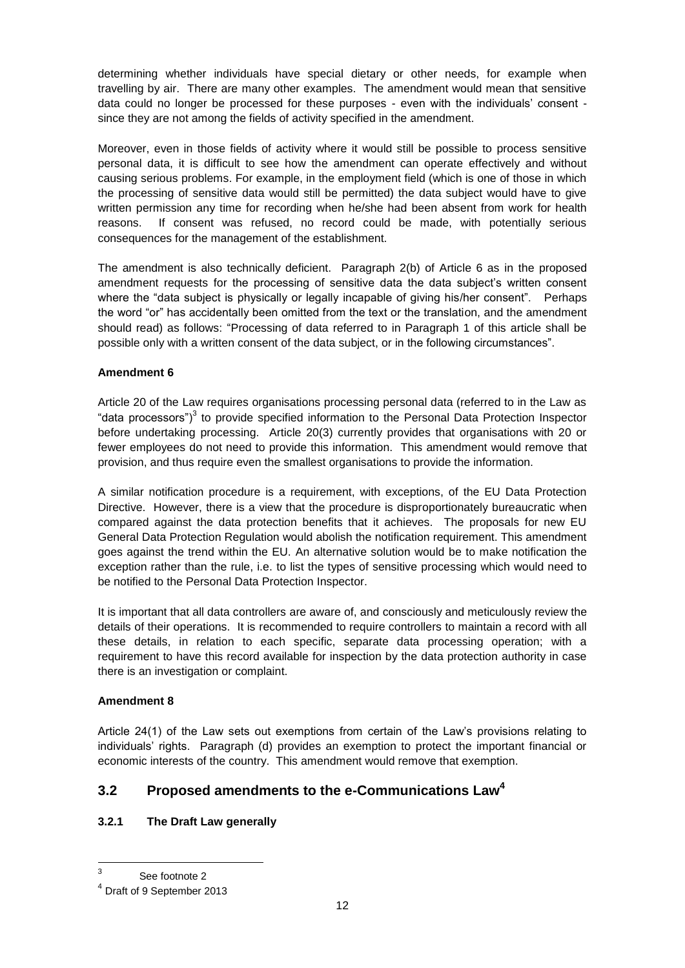determining whether individuals have special dietary or other needs, for example when travelling by air. There are many other examples. The amendment would mean that sensitive data could no longer be processed for these purposes - even with the individuals' consent since they are not among the fields of activity specified in the amendment.

Moreover, even in those fields of activity where it would still be possible to process sensitive personal data, it is difficult to see how the amendment can operate effectively and without causing serious problems. For example, in the employment field (which is one of those in which the processing of sensitive data would still be permitted) the data subject would have to give written permission any time for recording when he/she had been absent from work for health reasons. If consent was refused, no record could be made, with potentially serious consequences for the management of the establishment.

The amendment is also technically deficient. Paragraph 2(b) of Article 6 as in the proposed amendment requests for the processing of sensitive data the data subject's written consent where the "data subject is physically or legally incapable of giving his/her consent". Perhaps the word "or" has accidentally been omitted from the text or the translation, and the amendment should read) as follows: "Processing of data referred to in Paragraph 1 of this article shall be possible only with a written consent of the data subject, or in the following circumstances".

### **Amendment 6**

Article 20 of the Law requires organisations processing personal data (referred to in the Law as "data processors")<sup>3</sup> to provide specified information to the Personal Data Protection Inspector before undertaking processing. Article 20(3) currently provides that organisations with 20 or fewer employees do not need to provide this information. This amendment would remove that provision, and thus require even the smallest organisations to provide the information.

A similar notification procedure is a requirement, with exceptions, of the EU Data Protection Directive. However, there is a view that the procedure is disproportionately bureaucratic when compared against the data protection benefits that it achieves. The proposals for new EU General Data Protection Regulation would abolish the notification requirement. This amendment goes against the trend within the EU. An alternative solution would be to make notification the exception rather than the rule, i.e. to list the types of sensitive processing which would need to be notified to the Personal Data Protection Inspector.

It is important that all data controllers are aware of, and consciously and meticulously review the details of their operations. It is recommended to require controllers to maintain a record with all these details, in relation to each specific, separate data processing operation; with a requirement to have this record available for inspection by the data protection authority in case there is an investigation or complaint.

#### **Amendment 8**

Article 24(1) of the Law sets out exemptions from certain of the Law's provisions relating to individuals' rights. Paragraph (d) provides an exemption to protect the important financial or economic interests of the country. This amendment would remove that exemption.

# <span id="page-11-0"></span>**3.2 Proposed amendments to the e-Communications Law<sup>4</sup>**

### <span id="page-11-1"></span>**3.2.1 The Draft Law generally**

-

<sup>3</sup> See footnote 2

<sup>4</sup> Draft of 9 September 2013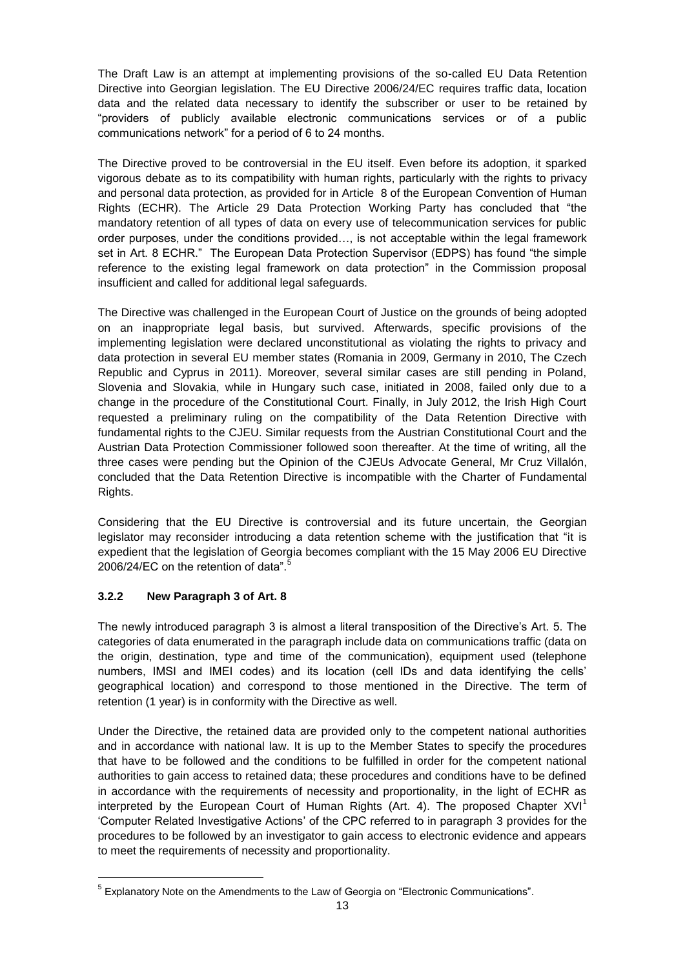The Draft Law is an attempt at implementing provisions of the so-called EU Data Retention Directive into Georgian legislation. The EU Directive 2006/24/EC requires traffic data, location data and the related data necessary to identify the subscriber or user to be retained by "providers of publicly available electronic communications services or of a public communications network" for a period of 6 to 24 months.

The Directive proved to be controversial in the EU itself. Even before its adoption, it sparked vigorous debate as to its compatibility with human rights, particularly with the rights to privacy and personal data protection, as provided for in Article 8 of the European Convention of Human Rights (ECHR). The Article 29 Data Protection Working Party has concluded that "the mandatory retention of all types of data on every use of telecommunication services for public order purposes, under the conditions provided…, is not acceptable within the legal framework set in Art. 8 ECHR." The European Data Protection Supervisor (EDPS) has found "the simple reference to the existing legal framework on data protection" in the Commission proposal insufficient and called for additional legal safeguards.

The Directive was challenged in the European Court of Justice on the grounds of being adopted on an inappropriate legal basis, but survived. Afterwards, specific provisions of the implementing legislation were declared unconstitutional as violating the rights to privacy and data protection in several EU member states (Romania in 2009, Germany in 2010, The Czech Republic and Cyprus in 2011). Moreover, several similar cases are still pending in Poland, Slovenia and Slovakia, while in Hungary such case, initiated in 2008, failed only due to a change in the procedure of the Constitutional Court. Finally, in July 2012, the Irish High Court requested a preliminary ruling on the compatibility of the Data Retention Directive with fundamental rights to the CJEU. Similar requests from the Austrian Constitutional Court and the Austrian Data Protection Commissioner followed soon thereafter. At the time of writing, all the three cases were pending but the Opinion of the CJEUs Advocate General, Mr Cruz Villalón, concluded that the Data Retention Directive is incompatible with the Charter of Fundamental Rights.

Considering that the EU Directive is controversial and its future uncertain, the Georgian legislator may reconsider introducing a data retention scheme with the justification that "it is expedient that the legislation of Georgia becomes compliant with the 15 May 2006 EU Directive 2006/24/EC on the retention of data".<sup>5</sup>

## <span id="page-12-0"></span>**3.2.2 New Paragraph 3 of Art. 8**

-

The newly introduced paragraph 3 is almost a literal transposition of the Directive's Art. 5. The categories of data enumerated in the paragraph include data on communications traffic (data on the origin, destination, type and time of the communication), equipment used (telephone numbers, IMSI and IMEI codes) and its location (cell IDs and data identifying the cells' geographical location) and correspond to those mentioned in the Directive. The term of retention (1 year) is in conformity with the Directive as well.

Under the Directive, the retained data are provided only to the competent national authorities and in accordance with national law. It is up to the Member States to specify the procedures that have to be followed and the conditions to be fulfilled in order for the competent national authorities to gain access to retained data; these procedures and conditions have to be defined in accordance with the requirements of necessity and proportionality, in the light of ECHR as interpreted by the European Court of Human Rights (Art. 4). The proposed Chapter  $XVI<sup>1</sup>$ 'Computer Related Investigative Actions' of the CPC referred to in paragraph 3 provides for the procedures to be followed by an investigator to gain access to electronic evidence and appears to meet the requirements of necessity and proportionality.

<sup>&</sup>lt;sup>5</sup> Explanatory Note on the Amendments to the Law of Georgia on "Electronic Communications".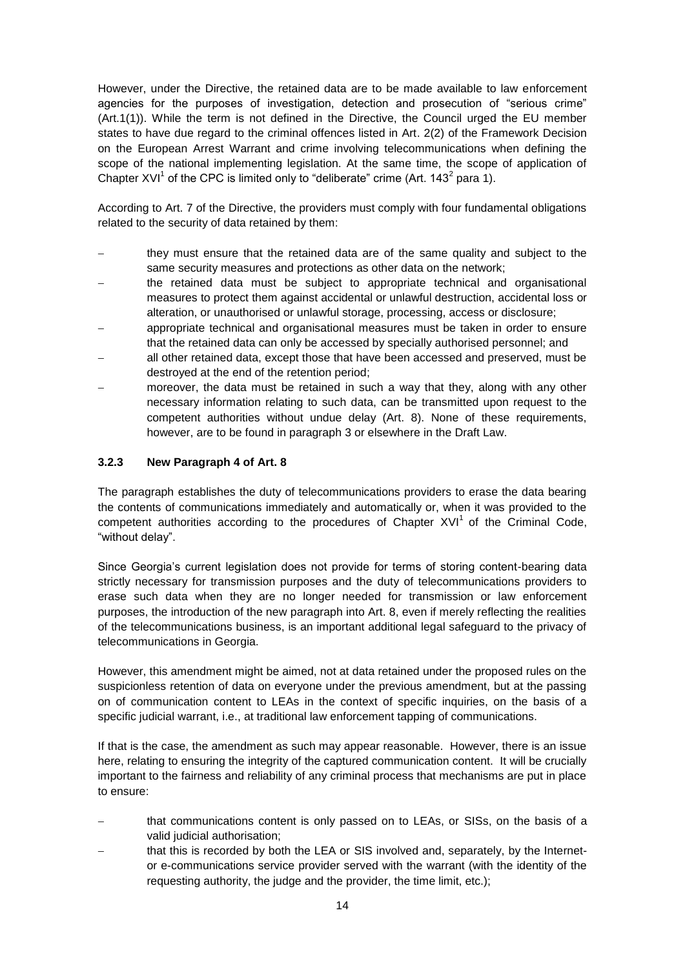However, under the Directive, the retained data are to be made available to law enforcement agencies for the purposes of investigation, detection and prosecution of "serious crime" (Art.1(1)). While the term is not defined in the Directive, the Council urged the EU member states to have due regard to the criminal offences listed in Art. 2(2) of the Framework Decision on the European Arrest Warrant and crime involving telecommunications when defining the scope of the national implementing legislation. At the same time, the scope of application of Chapter XVI<sup>1</sup> of the CPC is limited only to "deliberate" crime (Art. 143<sup>2</sup> para 1).

According to Art. 7 of the Directive, the providers must comply with four fundamental obligations related to the security of data retained by them:

- they must ensure that the retained data are of the same quality and subject to the same security measures and protections as other data on the network;
- the retained data must be subject to appropriate technical and organisational measures to protect them against accidental or unlawful destruction, accidental loss or alteration, or unauthorised or unlawful storage, processing, access or disclosure;
- appropriate technical and organisational measures must be taken in order to ensure that the retained data can only be accessed by specially authorised personnel; and
- all other retained data, except those that have been accessed and preserved, must be destroyed at the end of the retention period;
- moreover, the data must be retained in such a way that they, along with any other necessary information relating to such data, can be transmitted upon request to the competent authorities without undue delay (Art. 8). None of these requirements, however, are to be found in paragraph 3 or elsewhere in the Draft Law.

#### <span id="page-13-0"></span>**3.2.3 New Paragraph 4 of Art. 8**

The paragraph establishes the duty of telecommunications providers to erase the data bearing the contents of communications immediately and automatically or, when it was provided to the competent authorities according to the procedures of Chapter  $XVI<sup>1</sup>$  of the Criminal Code, "without delay".

Since Georgia's current legislation does not provide for terms of storing content-bearing data strictly necessary for transmission purposes and the duty of telecommunications providers to erase such data when they are no longer needed for transmission or law enforcement purposes, the introduction of the new paragraph into Art. 8, even if merely reflecting the realities of the telecommunications business, is an important additional legal safeguard to the privacy of telecommunications in Georgia.

However, this amendment might be aimed, not at data retained under the proposed rules on the suspicionless retention of data on everyone under the previous amendment, but at the passing on of communication content to LEAs in the context of specific inquiries, on the basis of a specific judicial warrant, i.e., at traditional law enforcement tapping of communications.

If that is the case, the amendment as such may appear reasonable. However, there is an issue here, relating to ensuring the integrity of the captured communication content. It will be crucially important to the fairness and reliability of any criminal process that mechanisms are put in place to ensure:

- that communications content is only passed on to LEAs, or SISs, on the basis of a valid judicial authorisation:
- that this is recorded by both the LEA or SIS involved and, separately, by the Internetor e-communications service provider served with the warrant (with the identity of the requesting authority, the judge and the provider, the time limit, etc.);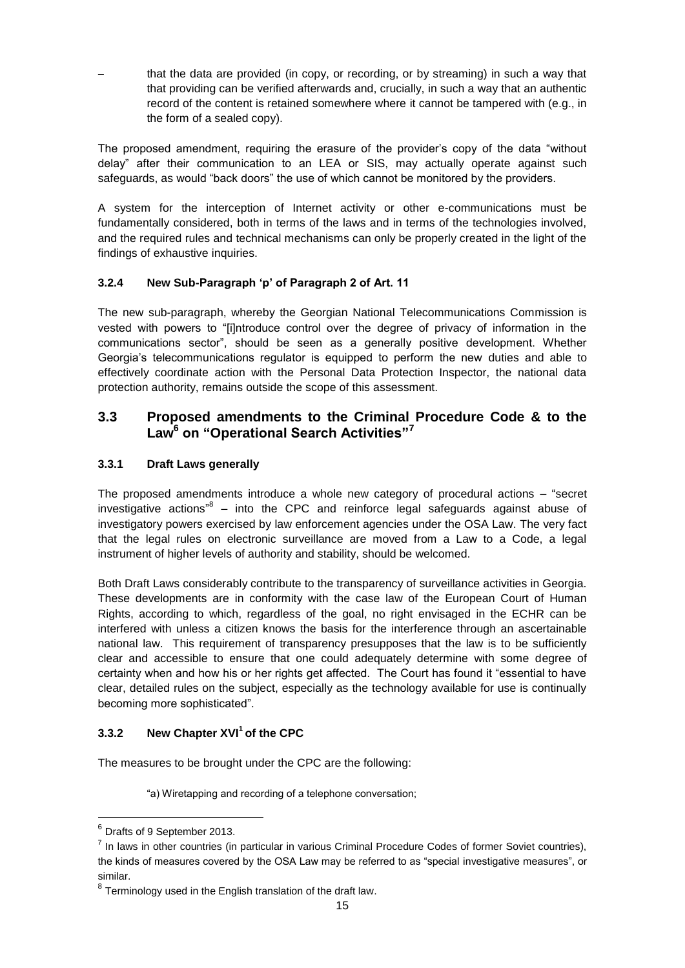that the data are provided (in copy, or recording, or by streaming) in such a way that that providing can be verified afterwards and, crucially, in such a way that an authentic record of the content is retained somewhere where it cannot be tampered with (e.g., in the form of a sealed copy).

The proposed amendment, requiring the erasure of the provider's copy of the data "without delay" after their communication to an LEA or SIS, may actually operate against such safeguards, as would "back doors" the use of which cannot be monitored by the providers.

A system for the interception of Internet activity or other e-communications must be fundamentally considered, both in terms of the laws and in terms of the technologies involved, and the required rules and technical mechanisms can only be properly created in the light of the findings of exhaustive inquiries.

### <span id="page-14-0"></span>**3.2.4 New Sub-Paragraph 'p' of Paragraph 2 of Art. 11**

The new sub-paragraph, whereby the Georgian National Telecommunications Commission is vested with powers to "[i]ntroduce control over the degree of privacy of information in the communications sector", should be seen as a generally positive development. Whether Georgia's telecommunications regulator is equipped to perform the new duties and able to effectively coordinate action with the Personal Data Protection Inspector, the national data protection authority, remains outside the scope of this assessment.

## <span id="page-14-1"></span>**3.3 Proposed amendments to the Criminal Procedure Code & to the Law<sup>6</sup> on "Operational Search Activities"<sup>7</sup>**

### <span id="page-14-2"></span>**3.3.1 Draft Laws generally**

The proposed amendments introduce a whole new category of procedural actions – "secret investigative actions<sup>"8</sup> – into the CPC and reinforce legal safeguards against abuse of investigatory powers exercised by law enforcement agencies under the OSA Law. The very fact that the legal rules on electronic surveillance are moved from a Law to a Code, a legal instrument of higher levels of authority and stability, should be welcomed.

Both Draft Laws considerably contribute to the transparency of surveillance activities in Georgia. These developments are in conformity with the case law of the European Court of Human Rights, according to which, regardless of the goal, no right envisaged in the ECHR can be interfered with unless a citizen knows the basis for the interference through an ascertainable national law. This requirement of transparency presupposes that the law is to be sufficiently clear and accessible to ensure that one could adequately determine with some degree of certainty when and how his or her rights get affected. The Court has found it "essential to have clear, detailed rules on the subject, especially as the technology available for use is continually becoming more sophisticated".

### <span id="page-14-3"></span>**3.3.2 New Chapter XVI<sup>1</sup>of the CPC**

The measures to be brought under the CPC are the following:

"a) Wiretapping and recording of a telephone conversation;

-

 $<sup>6</sup>$  Drafts of 9 September 2013.</sup>

 $<sup>7</sup>$  In laws in other countries (in particular in various Criminal Procedure Codes of former Soviet countries),</sup> the kinds of measures covered by the OSA Law may be referred to as "special investigative measures", or similar.

 $8$  Terminology used in the English translation of the draft law.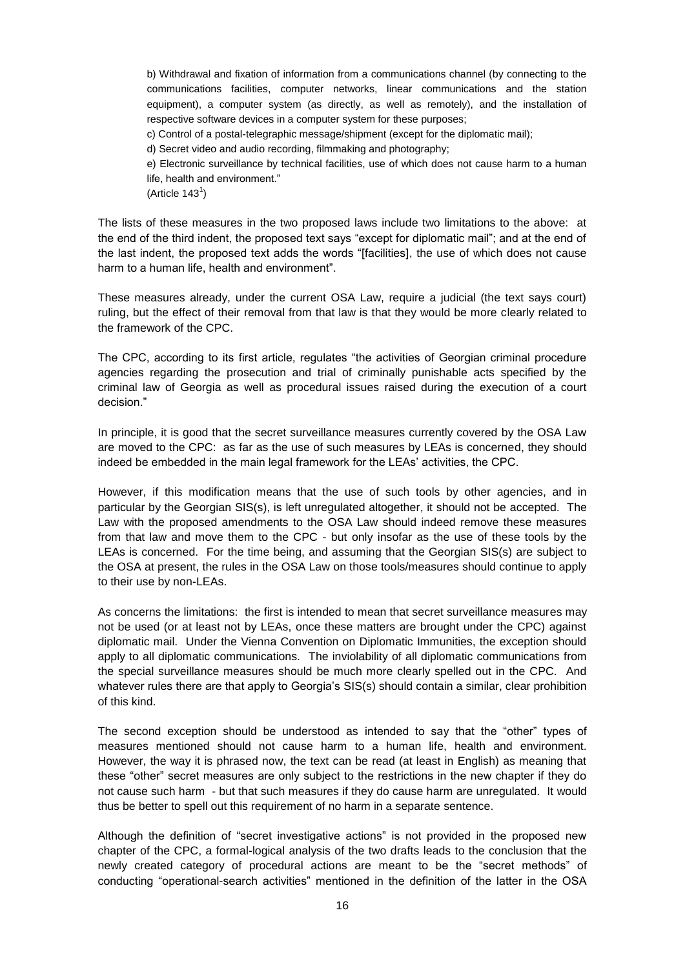b) Withdrawal and fixation of information from a communications channel (by connecting to the communications facilities, computer networks, linear communications and the station equipment), a computer system (as directly, as well as remotely), and the installation of respective software devices in a computer system for these purposes; c) Control of a postal-telegraphic message/shipment (except for the diplomatic mail); d) Secret video and audio recording, filmmaking and photography; e) Electronic surveillance by technical facilities, use of which does not cause harm to a human life, health and environment."  $(A$ rticle 143<sup>1</sup>)

The lists of these measures in the two proposed laws include two limitations to the above: at the end of the third indent, the proposed text says "except for diplomatic mail"; and at the end of the last indent, the proposed text adds the words "[facilities], the use of which does not cause harm to a human life, health and environment".

These measures already, under the current OSA Law, require a judicial (the text says court) ruling, but the effect of their removal from that law is that they would be more clearly related to the framework of the CPC.

The CPC, according to its first article, regulates "the activities of Georgian criminal procedure agencies regarding the prosecution and trial of criminally punishable acts specified by the criminal law of Georgia as well as procedural issues raised during the execution of a court decision."

In principle, it is good that the secret surveillance measures currently covered by the OSA Law are moved to the CPC: as far as the use of such measures by LEAs is concerned, they should indeed be embedded in the main legal framework for the LEAs' activities, the CPC.

However, if this modification means that the use of such tools by other agencies, and in particular by the Georgian SIS(s), is left unregulated altogether, it should not be accepted. The Law with the proposed amendments to the OSA Law should indeed remove these measures from that law and move them to the CPC - but only insofar as the use of these tools by the LEAs is concerned. For the time being, and assuming that the Georgian SIS(s) are subject to the OSA at present, the rules in the OSA Law on those tools/measures should continue to apply to their use by non-LEAs.

As concerns the limitations: the first is intended to mean that secret surveillance measures may not be used (or at least not by LEAs, once these matters are brought under the CPC) against diplomatic mail. Under the Vienna Convention on Diplomatic Immunities, the exception should apply to all diplomatic communications. The inviolability of all diplomatic communications from the special surveillance measures should be much more clearly spelled out in the CPC. And whatever rules there are that apply to Georgia's SIS(s) should contain a similar, clear prohibition of this kind.

The second exception should be understood as intended to say that the "other" types of measures mentioned should not cause harm to a human life, health and environment. However, the way it is phrased now, the text can be read (at least in English) as meaning that these "other" secret measures are only subject to the restrictions in the new chapter if they do not cause such harm - but that such measures if they do cause harm are unregulated. It would thus be better to spell out this requirement of no harm in a separate sentence.

Although the definition of "secret investigative actions" is not provided in the proposed new chapter of the CPC, a formal-logical analysis of the two drafts leads to the conclusion that the newly created category of procedural actions are meant to be the "secret methods" of conducting "operational-search activities" mentioned in the definition of the latter in the OSA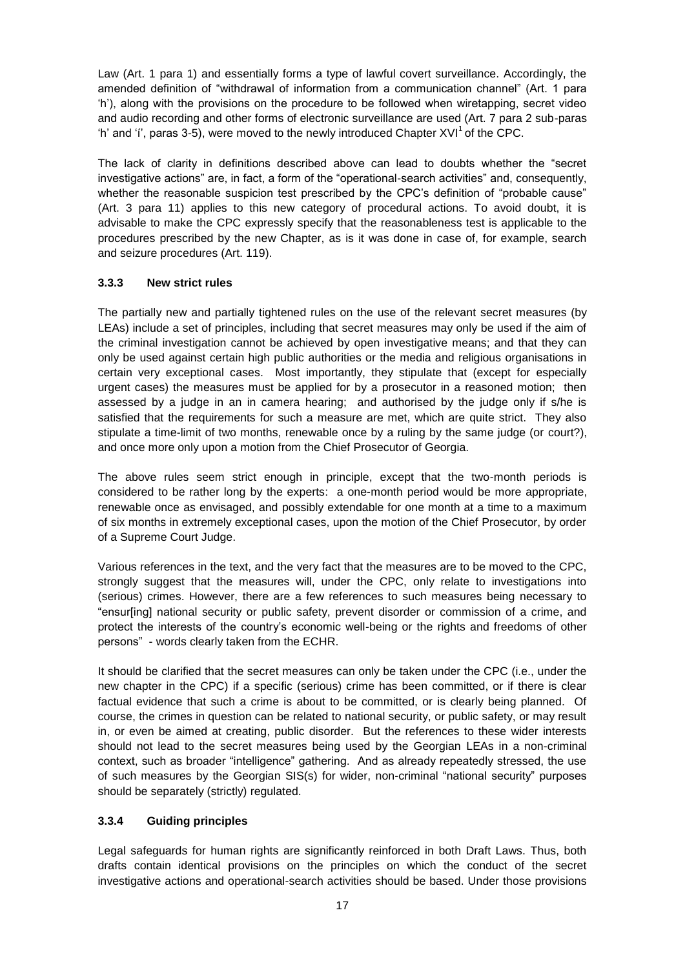Law (Art. 1 para 1) and essentially forms a type of lawful covert surveillance. Accordingly, the amended definition of "withdrawal of information from a communication channel" (Art. 1 para 'h'), along with the provisions on the procedure to be followed when wiretapping, secret video and audio recording and other forms of electronic surveillance are used (Art. 7 para 2 sub-paras 'h' and 'i', paras 3-5), were moved to the newly introduced Chapter  $XVI<sup>1</sup>$  of the CPC.

The lack of clarity in definitions described above can lead to doubts whether the "secret investigative actions" are, in fact, a form of the "operational-search activities" and, consequently, whether the reasonable suspicion test prescribed by the CPC's definition of "probable cause" (Art. 3 para 11) applies to this new category of procedural actions. To avoid doubt, it is advisable to make the CPC expressly specify that the reasonableness test is applicable to the procedures prescribed by the new Chapter, as is it was done in case of, for example, search and seizure procedures (Art. 119).

### <span id="page-16-0"></span>**3.3.3 New strict rules**

The partially new and partially tightened rules on the use of the relevant secret measures (by LEAs) include a set of principles, including that secret measures may only be used if the aim of the criminal investigation cannot be achieved by open investigative means; and that they can only be used against certain high public authorities or the media and religious organisations in certain very exceptional cases. Most importantly, they stipulate that (except for especially urgent cases) the measures must be applied for by a prosecutor in a reasoned motion; then assessed by a judge in an in camera hearing; and authorised by the judge only if s/he is satisfied that the requirements for such a measure are met, which are quite strict. They also stipulate a time-limit of two months, renewable once by a ruling by the same judge (or court?), and once more only upon a motion from the Chief Prosecutor of Georgia.

The above rules seem strict enough in principle, except that the two-month periods is considered to be rather long by the experts: a one-month period would be more appropriate, renewable once as envisaged, and possibly extendable for one month at a time to a maximum of six months in extremely exceptional cases, upon the motion of the Chief Prosecutor, by order of a Supreme Court Judge.

Various references in the text, and the very fact that the measures are to be moved to the CPC, strongly suggest that the measures will, under the CPC, only relate to investigations into (serious) crimes. However, there are a few references to such measures being necessary to "ensur[ing] national security or public safety, prevent disorder or commission of a crime, and protect the interests of the country's economic well-being or the rights and freedoms of other persons" - words clearly taken from the ECHR.

It should be clarified that the secret measures can only be taken under the CPC (i.e., under the new chapter in the CPC) if a specific (serious) crime has been committed, or if there is clear factual evidence that such a crime is about to be committed, or is clearly being planned. Of course, the crimes in question can be related to national security, or public safety, or may result in, or even be aimed at creating, public disorder. But the references to these wider interests should not lead to the secret measures being used by the Georgian LEAs in a non-criminal context, such as broader "intelligence" gathering. And as already repeatedly stressed, the use of such measures by the Georgian SIS(s) for wider, non-criminal "national security" purposes should be separately (strictly) regulated.

### <span id="page-16-1"></span>**3.3.4 Guiding principles**

Legal safeguards for human rights are significantly reinforced in both Draft Laws. Thus, both drafts contain identical provisions on the principles on which the conduct of the secret investigative actions and operational-search activities should be based. Under those provisions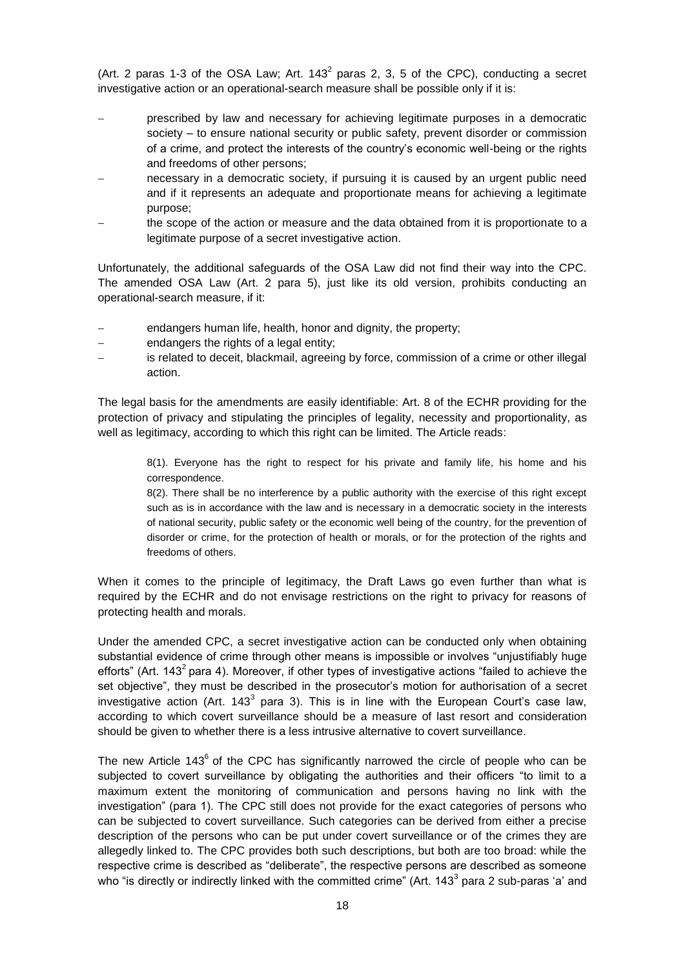(Art. 2 paras 1-3 of the OSA Law; Art. 143<sup>2</sup> paras 2, 3, 5 of the CPC), conducting a secret investigative action or an operational-search measure shall be possible only if it is:

- prescribed by law and necessary for achieving legitimate purposes in a democratic society – to ensure national security or public safety, prevent disorder or commission of a crime, and protect the interests of the country's economic well-being or the rights and freedoms of other persons;
- necessary in a democratic society, if pursuing it is caused by an urgent public need and if it represents an adequate and proportionate means for achieving a legitimate purpose;
- the scope of the action or measure and the data obtained from it is proportionate to a legitimate purpose of a secret investigative action.

Unfortunately, the additional safeguards of the OSA Law did not find their way into the CPC. The amended OSA Law (Art. 2 para 5), just like its old version, prohibits conducting an operational-search measure, if it:

- endangers human life, health, honor and dignity, the property;
- endangers the rights of a legal entity;
- is related to deceit, blackmail, agreeing by force, commission of a crime or other illegal action.

The legal basis for the amendments are easily identifiable: Art. 8 of the ECHR providing for the protection of privacy and stipulating the principles of legality, necessity and proportionality, as well as legitimacy, according to which this right can be limited. The Article reads:

8(1). Everyone has the right to respect for his private and family life, his home and his correspondence.

8(2). There shall be no interference by a public authority with the exercise of this right except such as is in accordance with the law and is necessary in a democratic society in the interests of national security, public safety or the economic well being of the country, for the prevention of disorder or crime, for the protection of health or morals, or for the protection of the rights and freedoms of others.

When it comes to the principle of legitimacy, the Draft Laws go even further than what is required by the ECHR and do not envisage restrictions on the right to privacy for reasons of protecting health and morals.

Under the amended CPC, a secret investigative action can be conducted only when obtaining substantial evidence of crime through other means is impossible or involves "unjustifiably huge efforts" (Art. 143<sup>2</sup> para 4). Moreover, if other types of investigative actions "failed to achieve the set objective", they must be described in the prosecutor's motion for authorisation of a secret investigative action (Art. 143<sup>3</sup> para 3). This is in line with the European Court's case law, according to which covert surveillance should be a measure of last resort and consideration should be given to whether there is a less intrusive alternative to covert surveillance.

The new Article 143 $<sup>6</sup>$  of the CPC has significantly narrowed the circle of people who can be</sup> subjected to covert surveillance by obligating the authorities and their officers "to limit to a maximum extent the monitoring of communication and persons having no link with the investigation" (para 1). The CPC still does not provide for the exact categories of persons who can be subjected to covert surveillance. Such categories can be derived from either a precise description of the persons who can be put under covert surveillance or of the crimes they are allegedly linked to. The CPC provides both such descriptions, but both are too broad: while the respective crime is described as "deliberate", the respective persons are described as someone who "is directly or indirectly linked with the committed crime" (Art. 143<sup>3</sup> para 2 sub-paras 'a' and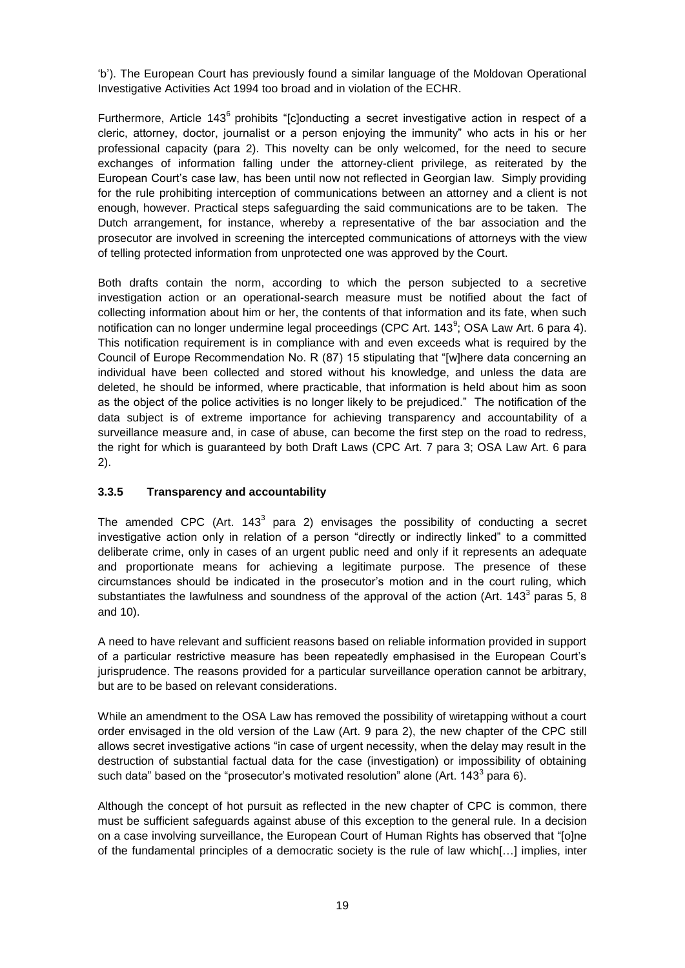'b'). The European Court has previously found a similar language of the Moldovan Operational Investigative Activities Act 1994 too broad and in violation of the ECHR.

Furthermore, Article 143<sup>6</sup> prohibits "[c]onducting a secret investigative action in respect of a cleric, attorney, doctor, journalist or a person enjoying the immunity" who acts in his or her professional capacity (para 2). This novelty can be only welcomed, for the need to secure exchanges of information falling under the attorney-client privilege, as reiterated by the European Court's case law, has been until now not reflected in Georgian law. Simply providing for the rule prohibiting interception of communications between an attorney and a client is not enough, however. Practical steps safeguarding the said communications are to be taken. The Dutch arrangement, for instance, whereby a representative of the bar association and the prosecutor are involved in screening the intercepted communications of attorneys with the view of telling protected information from unprotected one was approved by the Court.

Both drafts contain the norm, according to which the person subjected to a secretive investigation action or an operational-search measure must be notified about the fact of collecting information about him or her, the contents of that information and its fate, when such notification can no longer undermine legal proceedings (CPC Art. 143 $\textdegree$ ; OSA Law Art. 6 para 4). This notification requirement is in compliance with and even exceeds what is required by the Council of Europe Recommendation No. R (87) 15 stipulating that "[w]here data concerning an individual have been collected and stored without his knowledge, and unless the data are deleted, he should be informed, where practicable, that information is held about him as soon as the object of the police activities is no longer likely to be prejudiced." The notification of the data subject is of extreme importance for achieving transparency and accountability of a surveillance measure and, in case of abuse, can become the first step on the road to redress, the right for which is guaranteed by both Draft Laws (CPC Art. 7 para 3; OSA Law Art. 6 para 2).

### <span id="page-18-0"></span>**3.3.5 Transparency and accountability**

The amended CPC (Art. 143 $3$  para 2) envisages the possibility of conducting a secret investigative action only in relation of a person "directly or indirectly linked" to a committed deliberate crime, only in cases of an urgent public need and only if it represents an adequate and proportionate means for achieving a legitimate purpose. The presence of these circumstances should be indicated in the prosecutor's motion and in the court ruling, which substantiates the lawfulness and soundness of the approval of the action (Art. 143 $^3$  paras 5, 8 and 10).

A need to have relevant and sufficient reasons based on reliable information provided in support of a particular restrictive measure has been repeatedly emphasised in the European Court's jurisprudence. The reasons provided for a particular surveillance operation cannot be arbitrary, but are to be based on relevant considerations.

While an amendment to the OSA Law has removed the possibility of wiretapping without a court order envisaged in the old version of the Law (Art. 9 para 2), the new chapter of the CPC still allows secret investigative actions "in case of urgent necessity, when the delay may result in the destruction of substantial factual data for the case (investigation) or impossibility of obtaining such data" based on the "prosecutor's motivated resolution" alone (Art. 143<sup>3</sup> para 6).

Although the concept of hot pursuit as reflected in the new chapter of CPC is common, there must be sufficient safeguards against abuse of this exception to the general rule. In a decision on a case involving surveillance, the European Court of Human Rights has observed that "[o]ne of the fundamental principles of a democratic society is the rule of law which[…] implies, inter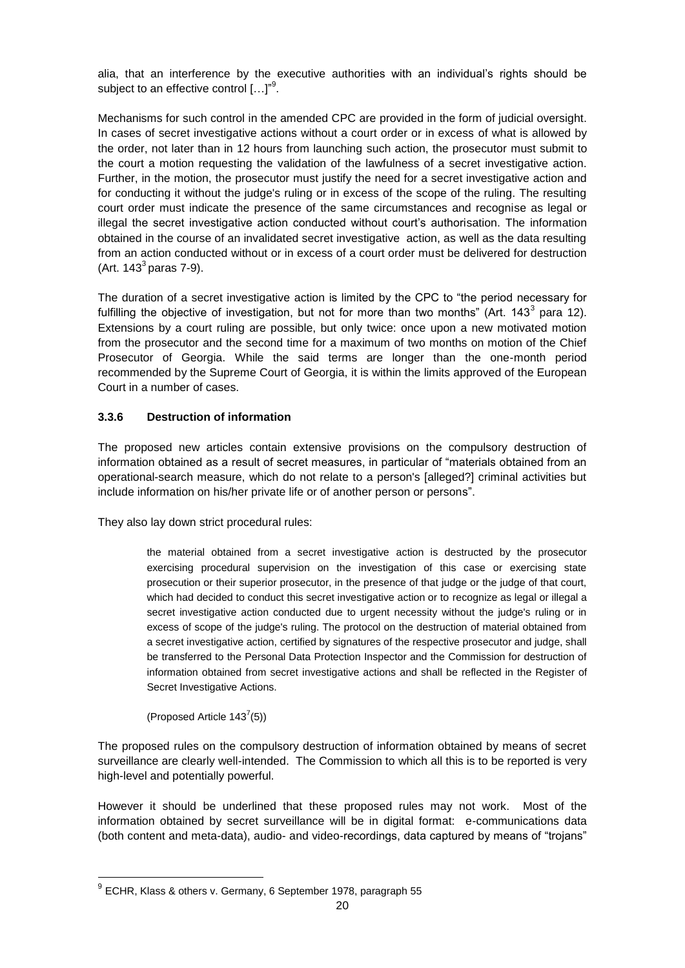alia, that an interference by the executive authorities with an individual's rights should be subject to an effective control  $\left[\ldots\right]^{n^9}$ .

Mechanisms for such control in the amended CPC are provided in the form of judicial oversight. In cases of secret investigative actions without a court order or in excess of what is allowed by the order, not later than in 12 hours from launching such action, the prosecutor must submit to the court a motion requesting the validation of the lawfulness of a secret investigative action. Further, in the motion, the prosecutor must justify the need for a secret investigative action and for conducting it without the judge's ruling or in excess of the scope of the ruling. The resulting court order must indicate the presence of the same circumstances and recognise as legal or illegal the secret investigative action conducted without court's authorisation. The information obtained in the course of an invalidated secret investigative action, as well as the data resulting from an action conducted without or in excess of a court order must be delivered for destruction  $(Art. 143<sup>3</sup>$  paras 7-9).

The duration of a secret investigative action is limited by the CPC to "the period necessary for fulfilling the objective of investigation, but not for more than two months" (Art. 143<sup>3</sup> para 12). Extensions by a court ruling are possible, but only twice: once upon a new motivated motion from the prosecutor and the second time for a maximum of two months on motion of the Chief Prosecutor of Georgia. While the said terms are longer than the one-month period recommended by the Supreme Court of Georgia, it is within the limits approved of the European Court in a number of cases.

#### <span id="page-19-0"></span>**3.3.6 Destruction of information**

The proposed new articles contain extensive provisions on the compulsory destruction of information obtained as a result of secret measures, in particular of "materials obtained from an operational-search measure, which do not relate to a person's [alleged?] criminal activities but include information on his/her private life or of another person or persons".

They also lay down strict procedural rules:

the material obtained from a secret investigative action is destructed by the prosecutor exercising procedural supervision on the investigation of this case or exercising state prosecution or their superior prosecutor, in the presence of that judge or the judge of that court, which had decided to conduct this secret investigative action or to recognize as legal or illegal a secret investigative action conducted due to urgent necessity without the judge's ruling or in excess of scope of the judge's ruling. The protocol on the destruction of material obtained from a secret investigative action, certified by signatures of the respective prosecutor and judge, shall be transferred to the Personal Data Protection Inspector and the Commission for destruction of information obtained from secret investigative actions and shall be reflected in the Register of Secret Investigative Actions.

(Proposed Article  $143^7(5)$ )

-

The proposed rules on the compulsory destruction of information obtained by means of secret surveillance are clearly well-intended. The Commission to which all this is to be reported is very high-level and potentially powerful.

However it should be underlined that these proposed rules may not work. Most of the information obtained by secret surveillance will be in digital format: e-communications data (both content and meta-data), audio- and video-recordings, data captured by means of "trojans"

<sup>&</sup>lt;sup>9</sup> ECHR, Klass & others v. Germany, 6 September 1978, paragraph 55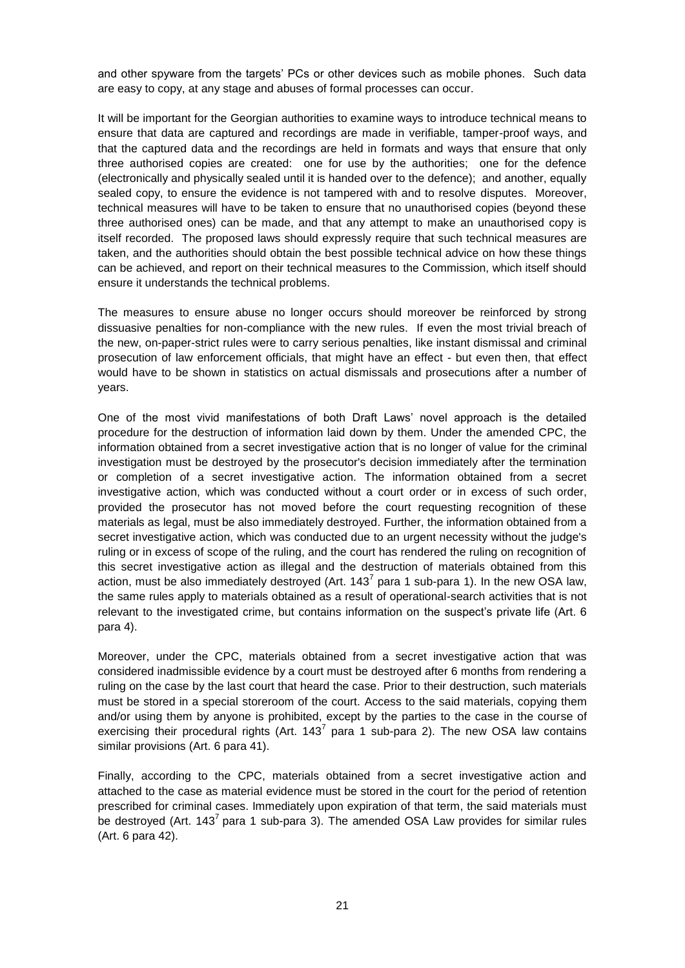and other spyware from the targets' PCs or other devices such as mobile phones. Such data are easy to copy, at any stage and abuses of formal processes can occur.

It will be important for the Georgian authorities to examine ways to introduce technical means to ensure that data are captured and recordings are made in verifiable, tamper-proof ways, and that the captured data and the recordings are held in formats and ways that ensure that only three authorised copies are created: one for use by the authorities; one for the defence (electronically and physically sealed until it is handed over to the defence); and another, equally sealed copy, to ensure the evidence is not tampered with and to resolve disputes. Moreover, technical measures will have to be taken to ensure that no unauthorised copies (beyond these three authorised ones) can be made, and that any attempt to make an unauthorised copy is itself recorded. The proposed laws should expressly require that such technical measures are taken, and the authorities should obtain the best possible technical advice on how these things can be achieved, and report on their technical measures to the Commission, which itself should ensure it understands the technical problems.

The measures to ensure abuse no longer occurs should moreover be reinforced by strong dissuasive penalties for non-compliance with the new rules. If even the most trivial breach of the new, on-paper-strict rules were to carry serious penalties, like instant dismissal and criminal prosecution of law enforcement officials, that might have an effect - but even then, that effect would have to be shown in statistics on actual dismissals and prosecutions after a number of years.

One of the most vivid manifestations of both Draft Laws' novel approach is the detailed procedure for the destruction of information laid down by them. Under the amended CPC, the information obtained from a secret investigative action that is no longer of value for the criminal investigation must be destroyed by the prosecutor's decision immediately after the termination or completion of a secret investigative action. The information obtained from a secret investigative action, which was conducted without a court order or in excess of such order, provided the prosecutor has not moved before the court requesting recognition of these materials as legal, must be also immediately destroyed. Further, the information obtained from a secret investigative action, which was conducted due to an urgent necessity without the judge's ruling or in excess of scope of the ruling, and the court has rendered the ruling on recognition of this secret investigative action as illegal and the destruction of materials obtained from this action, must be also immediately destroyed (Art. 143<sup>7</sup> para 1 sub-para 1). In the new OSA law, the same rules apply to materials obtained as a result of operational-search activities that is not relevant to the investigated crime, but contains information on the suspect's private life (Art. 6 para 4).

Moreover, under the CPC, materials obtained from a secret investigative action that was considered inadmissible evidence by a court must be destroyed after 6 months from rendering a ruling on the case by the last court that heard the case. Prior to their destruction, such materials must be stored in a special storeroom of the court. Access to the said materials, copying them and/or using them by anyone is prohibited, except by the parties to the case in the course of exercising their procedural rights (Art. 143<sup>7</sup> para 1 sub-para 2). The new OSA law contains similar provisions (Art. 6 para 41).

Finally, according to the CPC, materials obtained from a secret investigative action and attached to the case as material evidence must be stored in the court for the period of retention prescribed for criminal cases. Immediately upon expiration of that term, the said materials must be destroyed (Art. 143 $^7$  para 1 sub-para 3). The amended OSA Law provides for similar rules (Art. 6 para 42).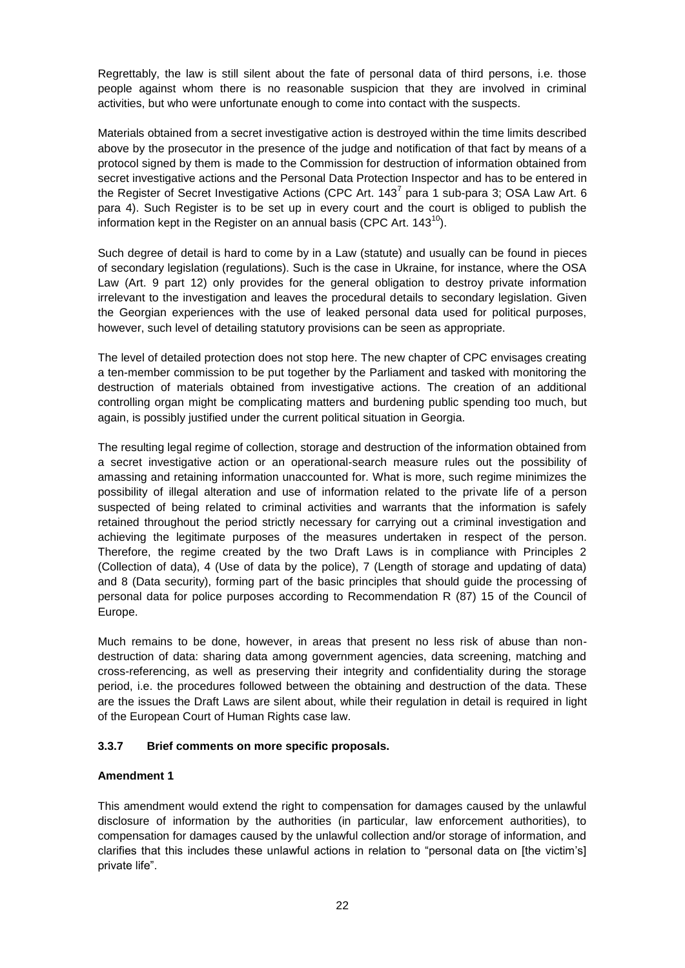Regrettably, the law is still silent about the fate of personal data of third persons, i.e. those people against whom there is no reasonable suspicion that they are involved in criminal activities, but who were unfortunate enough to come into contact with the suspects.

Materials obtained from a secret investigative action is destroyed within the time limits described above by the prosecutor in the presence of the judge and notification of that fact by means of a protocol signed by them is made to the Commission for destruction of information obtained from secret investigative actions and the Personal Data Protection Inspector and has to be entered in the Register of Secret Investigative Actions (CPC Art. 143<sup>7</sup> para 1 sub-para 3; OSA Law Art. 6 para 4). Such Register is to be set up in every court and the court is obliged to publish the information kept in the Register on an annual basis (CPC Art.  $143^{10}$ ).

Such degree of detail is hard to come by in a Law (statute) and usually can be found in pieces of secondary legislation (regulations). Such is the case in Ukraine, for instance, where the OSA Law (Art. 9 part 12) only provides for the general obligation to destroy private information irrelevant to the investigation and leaves the procedural details to secondary legislation. Given the Georgian experiences with the use of leaked personal data used for political purposes, however, such level of detailing statutory provisions can be seen as appropriate.

The level of detailed protection does not stop here. The new chapter of CPC envisages creating a ten-member commission to be put together by the Parliament and tasked with monitoring the destruction of materials obtained from investigative actions. The creation of an additional controlling organ might be complicating matters and burdening public spending too much, but again, is possibly justified under the current political situation in Georgia.

The resulting legal regime of collection, storage and destruction of the information obtained from a secret investigative action or an operational-search measure rules out the possibility of amassing and retaining information unaccounted for. What is more, such regime minimizes the possibility of illegal alteration and use of information related to the private life of a person suspected of being related to criminal activities and warrants that the information is safely retained throughout the period strictly necessary for carrying out a criminal investigation and achieving the legitimate purposes of the measures undertaken in respect of the person. Therefore, the regime created by the two Draft Laws is in compliance with Principles 2 (Collection of data), 4 (Use of data by the police), 7 (Length of storage and updating of data) and 8 (Data security), forming part of the basic principles that should guide the processing of personal data for police purposes according to Recommendation R (87) 15 of the Council of Europe.

Much remains to be done, however, in areas that present no less risk of abuse than nondestruction of data: sharing data among government agencies, data screening, matching and cross-referencing, as well as preserving their integrity and confidentiality during the storage period, i.e. the procedures followed between the obtaining and destruction of the data. These are the issues the Draft Laws are silent about, while their regulation in detail is required in light of the European Court of Human Rights case law.

### <span id="page-21-0"></span>**3.3.7 Brief comments on more specific proposals.**

#### **Amendment 1**

This amendment would extend the right to compensation for damages caused by the unlawful disclosure of information by the authorities (in particular, law enforcement authorities), to compensation for damages caused by the unlawful collection and/or storage of information, and clarifies that this includes these unlawful actions in relation to "personal data on [the victim's] private life".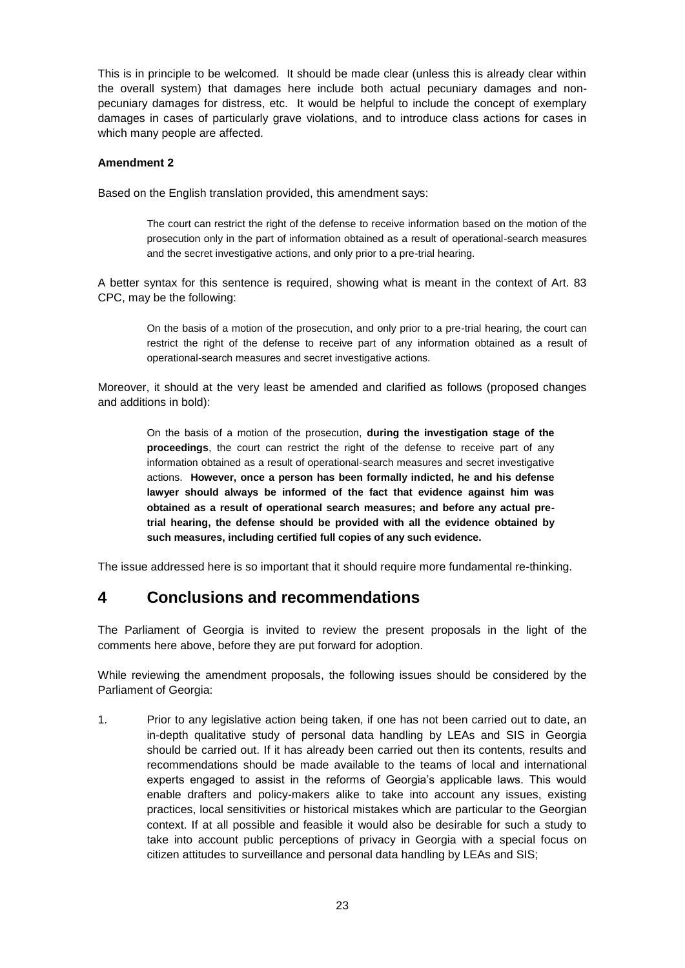This is in principle to be welcomed. It should be made clear (unless this is already clear within the overall system) that damages here include both actual pecuniary damages and nonpecuniary damages for distress, etc. It would be helpful to include the concept of exemplary damages in cases of particularly grave violations, and to introduce class actions for cases in which many people are affected.

#### **Amendment 2**

Based on the English translation provided, this amendment says:

The court can restrict the right of the defense to receive information based on the motion of the prosecution only in the part of information obtained as a result of operational-search measures and the secret investigative actions, and only prior to a pre-trial hearing.

A better syntax for this sentence is required, showing what is meant in the context of Art. 83 CPC, may be the following:

On the basis of a motion of the prosecution, and only prior to a pre-trial hearing, the court can restrict the right of the defense to receive part of any information obtained as a result of operational-search measures and secret investigative actions.

Moreover, it should at the very least be amended and clarified as follows (proposed changes and additions in bold):

On the basis of a motion of the prosecution, **during the investigation stage of the proceedings**, the court can restrict the right of the defense to receive part of any information obtained as a result of operational-search measures and secret investigative actions. **However, once a person has been formally indicted, he and his defense lawyer should always be informed of the fact that evidence against him was obtained as a result of operational search measures; and before any actual pretrial hearing, the defense should be provided with all the evidence obtained by such measures, including certified full copies of any such evidence.**

The issue addressed here is so important that it should require more fundamental re-thinking.

# <span id="page-22-0"></span>**4 Conclusions and recommendations**

The Parliament of Georgia is invited to review the present proposals in the light of the comments here above, before they are put forward for adoption.

While reviewing the amendment proposals, the following issues should be considered by the Parliament of Georgia:

1. Prior to any legislative action being taken, if one has not been carried out to date, an in-depth qualitative study of personal data handling by LEAs and SIS in Georgia should be carried out. If it has already been carried out then its contents, results and recommendations should be made available to the teams of local and international experts engaged to assist in the reforms of Georgia's applicable laws. This would enable drafters and policy-makers alike to take into account any issues, existing practices, local sensitivities or historical mistakes which are particular to the Georgian context. If at all possible and feasible it would also be desirable for such a study to take into account public perceptions of privacy in Georgia with a special focus on citizen attitudes to surveillance and personal data handling by LEAs and SIS;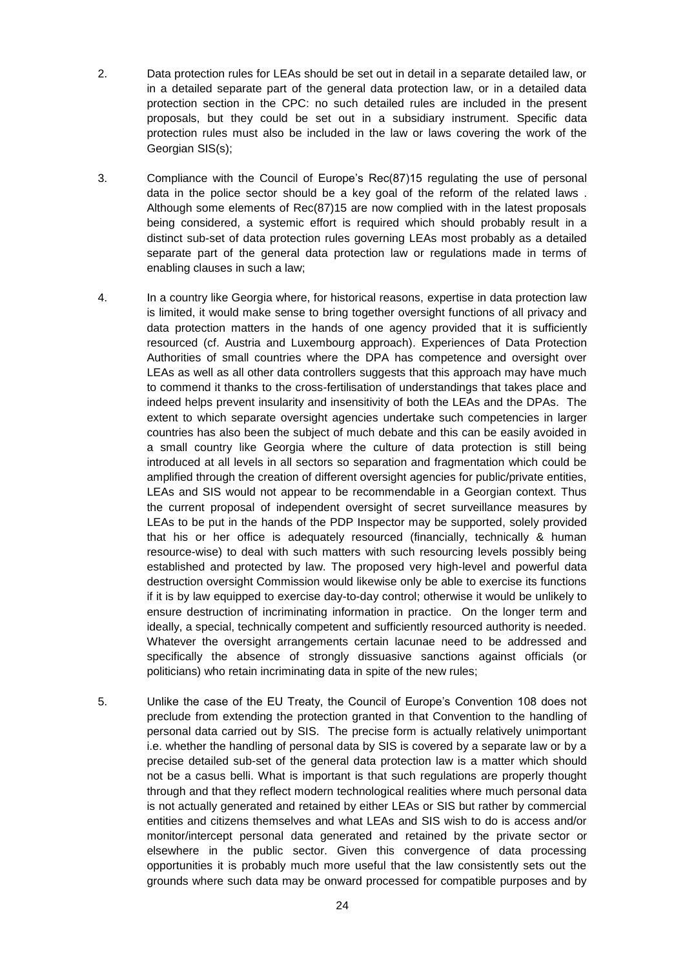- 2. Data protection rules for LEAs should be set out in detail in a separate detailed law, or in a detailed separate part of the general data protection law, or in a detailed data protection section in the CPC: no such detailed rules are included in the present proposals, but they could be set out in a subsidiary instrument. Specific data protection rules must also be included in the law or laws covering the work of the Georgian SIS(s):
- 3. Compliance with the Council of Europe's Rec(87)15 regulating the use of personal data in the police sector should be a key goal of the reform of the related laws . Although some elements of Rec(87)15 are now complied with in the latest proposals being considered, a systemic effort is required which should probably result in a distinct sub-set of data protection rules governing LEAs most probably as a detailed separate part of the general data protection law or regulations made in terms of enabling clauses in such a law;
- 4. In a country like Georgia where, for historical reasons, expertise in data protection law is limited, it would make sense to bring together oversight functions of all privacy and data protection matters in the hands of one agency provided that it is sufficiently resourced (cf. Austria and Luxembourg approach). Experiences of Data Protection Authorities of small countries where the DPA has competence and oversight over LEAs as well as all other data controllers suggests that this approach may have much to commend it thanks to the cross-fertilisation of understandings that takes place and indeed helps prevent insularity and insensitivity of both the LEAs and the DPAs. The extent to which separate oversight agencies undertake such competencies in larger countries has also been the subject of much debate and this can be easily avoided in a small country like Georgia where the culture of data protection is still being introduced at all levels in all sectors so separation and fragmentation which could be amplified through the creation of different oversight agencies for public/private entities, LEAs and SIS would not appear to be recommendable in a Georgian context. Thus the current proposal of independent oversight of secret surveillance measures by LEAs to be put in the hands of the PDP Inspector may be supported, solely provided that his or her office is adequately resourced (financially, technically & human resource-wise) to deal with such matters with such resourcing levels possibly being established and protected by law. The proposed very high-level and powerful data destruction oversight Commission would likewise only be able to exercise its functions if it is by law equipped to exercise day-to-day control; otherwise it would be unlikely to ensure destruction of incriminating information in practice. On the longer term and ideally, a special, technically competent and sufficiently resourced authority is needed. Whatever the oversight arrangements certain lacunae need to be addressed and specifically the absence of strongly dissuasive sanctions against officials (or politicians) who retain incriminating data in spite of the new rules;
- 5. Unlike the case of the EU Treaty, the Council of Europe's Convention 108 does not preclude from extending the protection granted in that Convention to the handling of personal data carried out by SIS. The precise form is actually relatively unimportant i.e. whether the handling of personal data by SIS is covered by a separate law or by a precise detailed sub-set of the general data protection law is a matter which should not be a casus belli. What is important is that such regulations are properly thought through and that they reflect modern technological realities where much personal data is not actually generated and retained by either LEAs or SIS but rather by commercial entities and citizens themselves and what LEAs and SIS wish to do is access and/or monitor/intercept personal data generated and retained by the private sector or elsewhere in the public sector. Given this convergence of data processing opportunities it is probably much more useful that the law consistently sets out the grounds where such data may be onward processed for compatible purposes and by